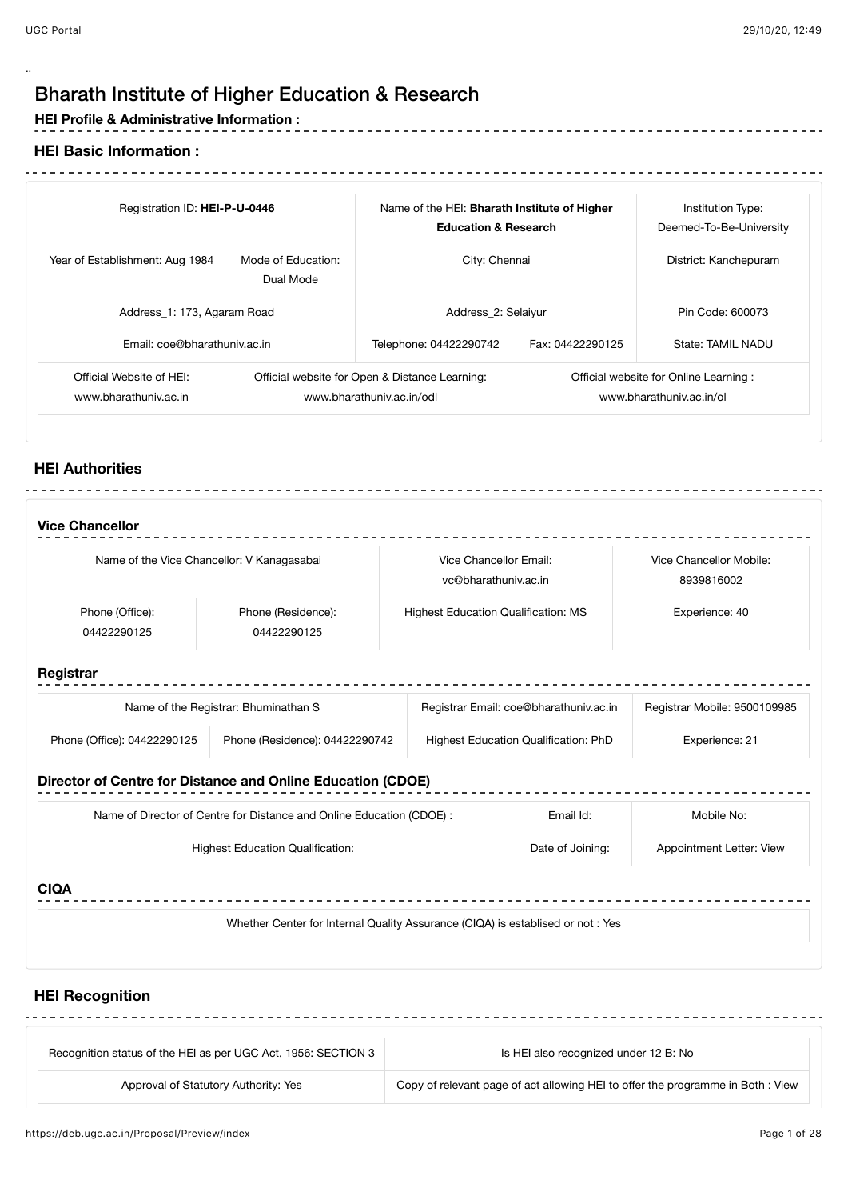..

-----------------------------

# Bharath Institute of Higher Education & Research

- - - - - - - - - - - - - - - -

## **HEI Profile & Administrative Information :**

#### **HEI Basic Information :**

| Registration ID: HEI-P-U-0446                     |                                 | Name of the HEI: Bharath Institute of Higher<br><b>Education &amp; Research</b> |                  | Institution Type:<br>Deemed-To-Be-University                      |
|---------------------------------------------------|---------------------------------|---------------------------------------------------------------------------------|------------------|-------------------------------------------------------------------|
| Year of Establishment: Aug 1984                   | Mode of Education:<br>Dual Mode | City: Chennai                                                                   |                  | District: Kanchepuram                                             |
| Address_1: 173, Agaram Road                       |                                 | Address 2: Selaiyur                                                             |                  | Pin Code: 600073                                                  |
| Email: coe@bharathuniv.ac.in                      |                                 | Telephone: 04422290742                                                          | Fax: 04422290125 | State: TAMIL NADU                                                 |
| Official Website of HEI:<br>www.bharathuniv.ac.in |                                 | Official website for Open & Distance Learning:<br>www.bharathuniv.ac.in/odl     |                  | Official website for Online Learning:<br>www.bharathuniv.ac.in/ol |

## **HEI Authorities**

|                                | Name of the Vice Chancellor: V Kanagasabai | Vice Chancellor Email:<br>vc@bharathuniv.ac.in | Vice Chancellor Mobile:<br>8939816002 |
|--------------------------------|--------------------------------------------|------------------------------------------------|---------------------------------------|
| Phone (Office):<br>04422290125 | Phone (Residence):<br>04422290125          | <b>Highest Education Qualification: MS</b>     | Experience: 40                        |
| Registrar                      |                                            |                                                |                                       |
|                                | Name of the Registrar: Bhuminathan S       | Registrar Email: coe@bharathuniv.ac.in         | Registrar Mobile: 9500109985          |
| Phone (Office): 04422290125    | Phone (Residence): 04422290742             | Highest Education Qualification: PhD           | Experience: 21                        |

# **Director of Centre for Distance and Online Education (CDOE)**

| <b>PHODIOI OF OCHEC TOF DISTRITUE AND OTHERS EQUODEDITIONS</b>        |                  |                          |
|-----------------------------------------------------------------------|------------------|--------------------------|
| Name of Director of Centre for Distance and Online Education (CDOE) : | Email Id:        | Mobile No:               |
| Highest Education Qualification:                                      | Date of Joining: | Appointment Letter: View |

## **CIQA**

Whether Center for Internal Quality Assurance (CIQA) is establised or not : Yes

## **HEI Recognition**

| Recognition status of the HEI as per UGC Act, 1956: SECTION 3 | Is HEI also recognized under 12 B: No                                           |  |
|---------------------------------------------------------------|---------------------------------------------------------------------------------|--|
| Approval of Statutory Authority: Yes                          | Copy of relevant page of act allowing HEI to offer the programme in Both : View |  |

<u> - - - - - - - - - - - -</u>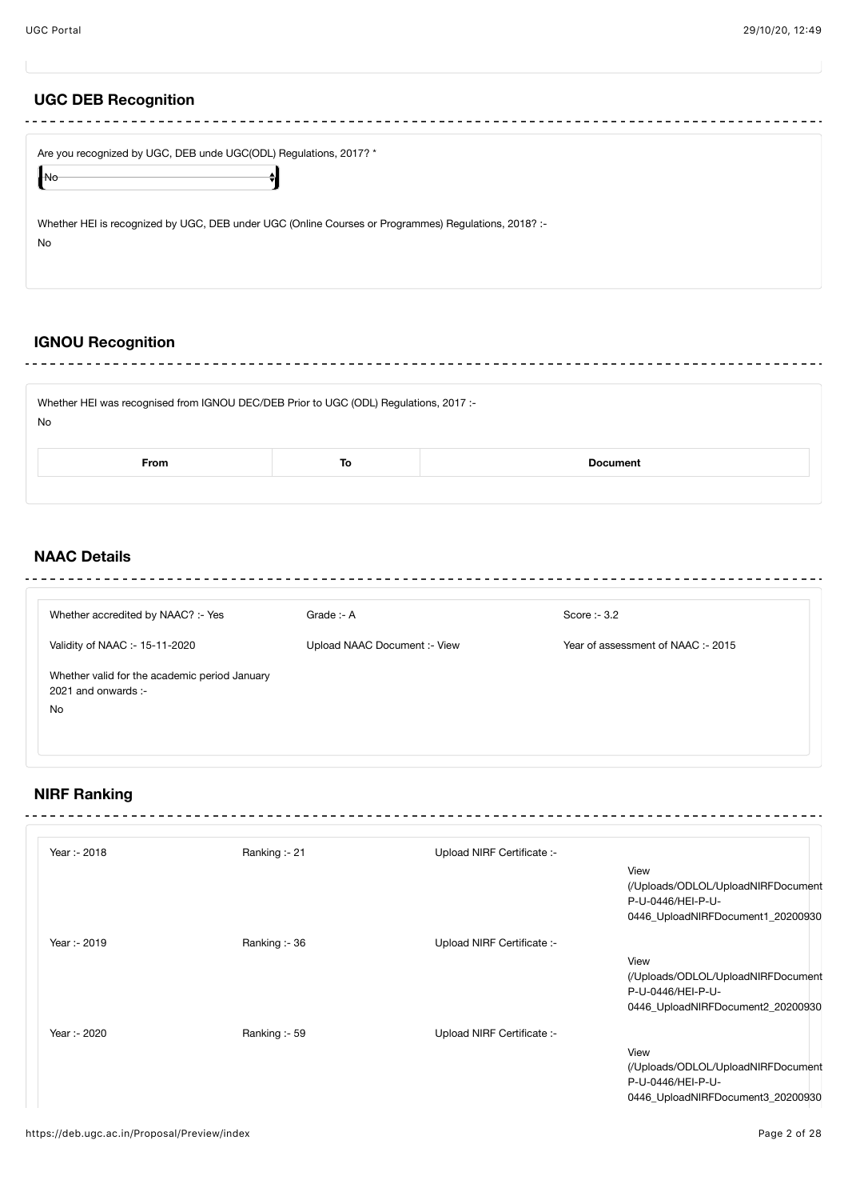# **UGC DEB Recognition**

|                                 | Are you recognized by UGC, DEB unde UGC(ODL) Regulations, 2017? *                                    |  |  |
|---------------------------------|------------------------------------------------------------------------------------------------------|--|--|
| $\bigcap_{N \circlearrowright}$ |                                                                                                      |  |  |
| No                              | Whether HEI is recognized by UGC, DEB under UGC (Online Courses or Programmes) Regulations, 2018? :- |  |  |

#### **IGNOU Recognition** <u>. . . . . . . . . . . . .</u>

 $\sim$ 

| Whether HEI was recognised from IGNOU DEC/DEB Prior to UGC (ODL) Regulations, 2017 :-<br>No |  |  |  |
|---------------------------------------------------------------------------------------------|--|--|--|
| <b>From</b><br><b>Document</b><br>То                                                        |  |  |  |
|                                                                                             |  |  |  |

# **NAAC Details**

| Whether accredited by NAAC? :- Yes                                         | Grade :- A                   | Score :- $3.2$                     |
|----------------------------------------------------------------------------|------------------------------|------------------------------------|
| Validity of NAAC :- 15-11-2020                                             | Upload NAAC Document :- View | Year of assessment of NAAC: - 2015 |
| Whether valid for the academic period January<br>2021 and onwards :-<br>No |                              |                                    |

# **NIRF Ranking**

| Year :- 2018 | Ranking: - 21 | Upload NIRF Certificate :- |                                    |
|--------------|---------------|----------------------------|------------------------------------|
|              |               |                            | View                               |
|              |               |                            | (/Uploads/ODLOL/UploadNIRFDocument |
|              |               |                            | P-U-0446/HEI-P-U-                  |
|              |               |                            | 0446_UploadNIRFDocument1_20200930  |
| Year: - 2019 | Ranking: - 36 | Upload NIRF Certificate :- |                                    |
|              |               |                            | View                               |
|              |               |                            | (/Uploads/ODLOL/UploadNIRFDocument |
|              |               |                            | P-U-0446/HEI-P-U-                  |
|              |               |                            | 0446_UploadNIRFDocument2_20200930  |
| Year :- 2020 | Ranking :- 59 | Upload NIRF Certificate :- |                                    |
|              |               |                            | View                               |
|              |               |                            | (/Uploads/ODLOL/UploadNIRFDocument |
|              |               |                            | P-U-0446/HEI-P-U-                  |
|              |               |                            | 0446_UploadNIRFDocument3_20200930  |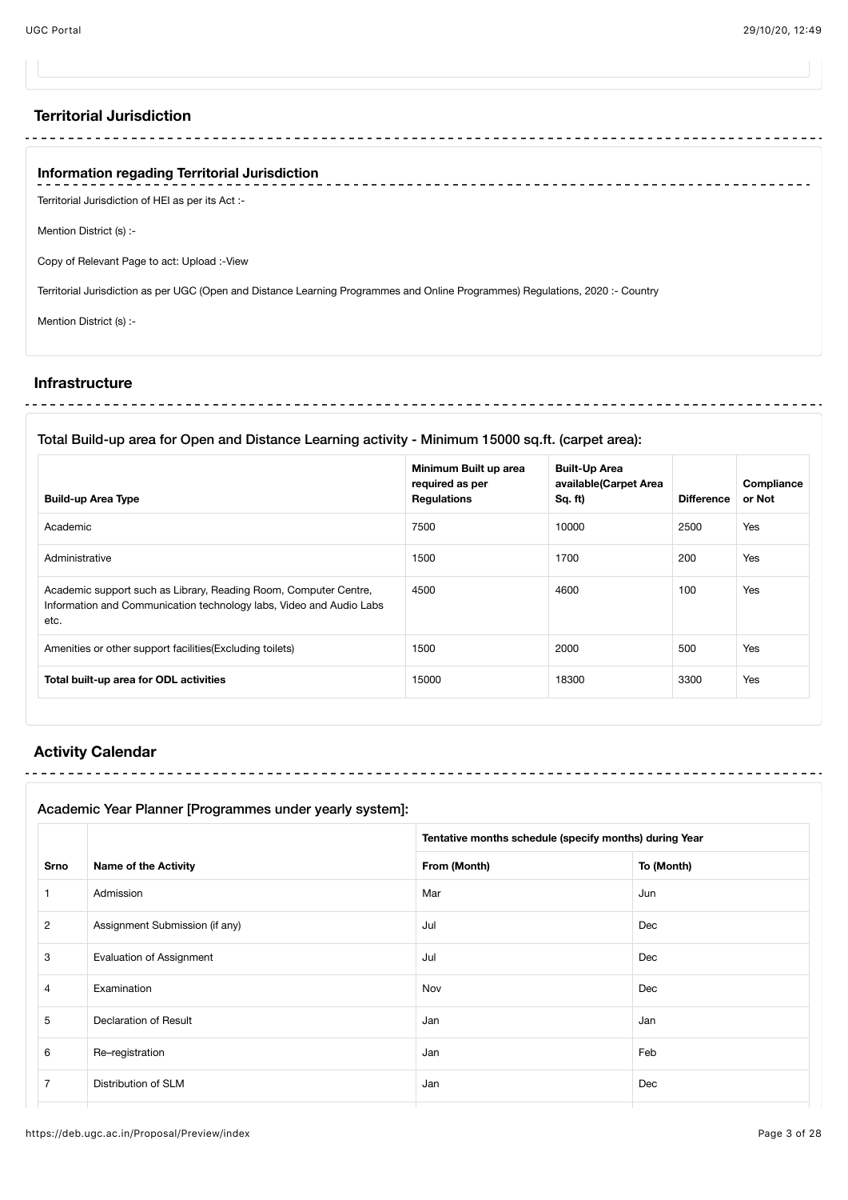### **Territorial Jurisdiction**

## **Information regading Territorial Jurisdiction**

Territorial Jurisdiction of HEI as per its Act :-

Mention District (s) :-

Copy of Relevant Page to act: Upload :-View

Territorial Jurisdiction as per UGC (Open and Distance Learning Programmes and Online Programmes) Regulations, 2020 :- Country

Mention District (s) :-

#### **Infrastructure**

<u>. . . . . . . . . . . . .</u> 

#### Total Build-up area for Open and Distance Learning activity - Minimum 15000 sq.ft. (carpet area):

| <b>Build-up Area Type</b>                                                                                                                       | Minimum Built up area<br>required as per<br><b>Regulations</b> | <b>Built-Up Area</b><br>available(Carpet Area<br>Sq. ft) | <b>Difference</b> | Compliance<br>or Not |
|-------------------------------------------------------------------------------------------------------------------------------------------------|----------------------------------------------------------------|----------------------------------------------------------|-------------------|----------------------|
| Academic                                                                                                                                        | 7500                                                           | 10000                                                    | 2500              | Yes                  |
| Administrative                                                                                                                                  | 1500                                                           | 1700                                                     | 200               | Yes                  |
| Academic support such as Library, Reading Room, Computer Centre,<br>Information and Communication technology labs, Video and Audio Labs<br>etc. | 4500                                                           | 4600                                                     | 100               | Yes                  |
| Amenities or other support facilities (Excluding toilets)                                                                                       | 1500                                                           | 2000                                                     | 500               | Yes                  |
| Total built-up area for ODL activities                                                                                                          | 15000                                                          | 18300                                                    | 3300              | Yes                  |

#### **Activity Calendar**

## Academic Year Planner [Programmes under yearly system]:

<u> - - - - - - - - - -</u>

|                |                                 | Tentative months schedule (specify months) during Year |            |
|----------------|---------------------------------|--------------------------------------------------------|------------|
| <b>Srno</b>    | <b>Name of the Activity</b>     | From (Month)                                           | To (Month) |
| 1              | Admission                       | Mar                                                    | Jun        |
| $\overline{2}$ | Assignment Submission (if any)  | Jul                                                    | Dec        |
| 3              | <b>Evaluation of Assignment</b> | Jul                                                    | Dec        |
| $\overline{4}$ | Examination                     | Nov                                                    | Dec        |
| 5              | Declaration of Result           | Jan                                                    | Jan        |
| 6              | Re-registration                 | Jan                                                    | Feb        |
| $\overline{7}$ | Distribution of SLM             | Jan                                                    | Dec        |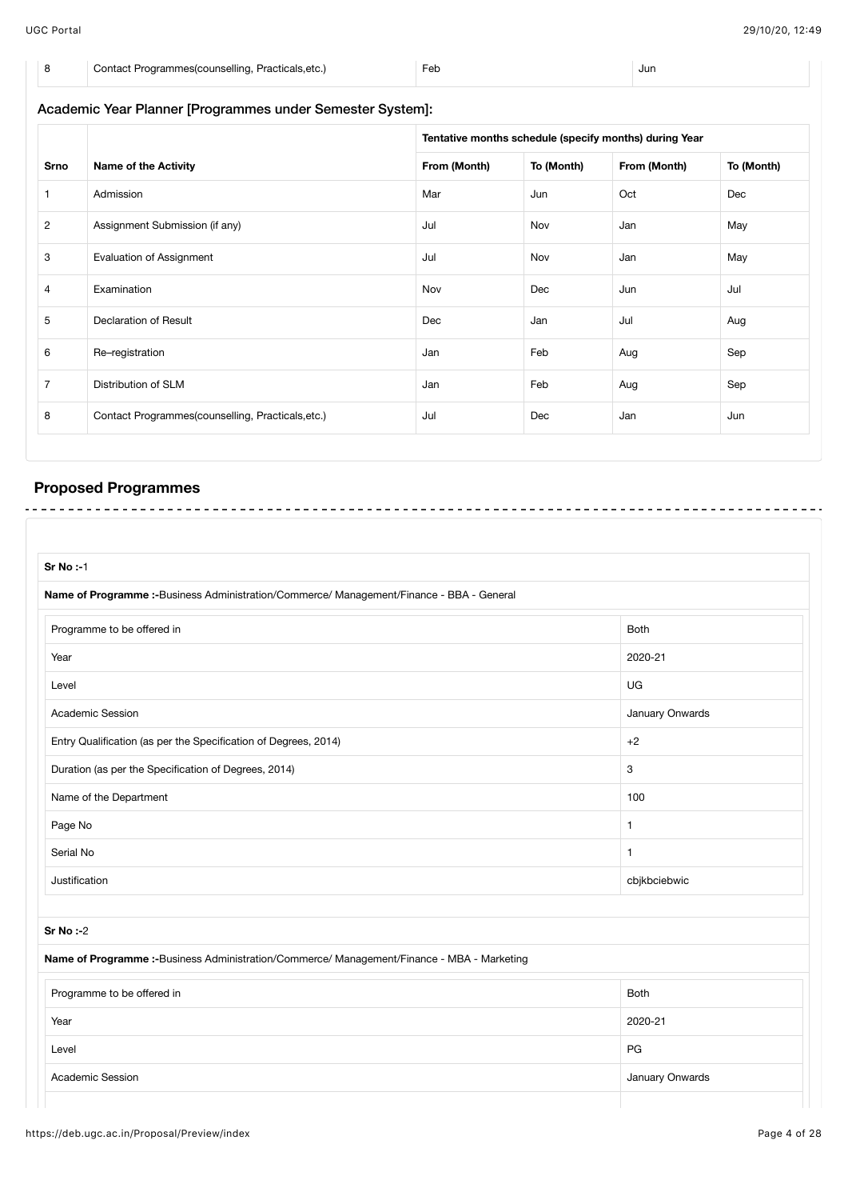| Contact Programmes (counselling, Practicals, etc.) | ⊦et | Jur |
|----------------------------------------------------|-----|-----|

# Academic Year Planner [Programmes under Semester System]: **Srno Name of the Activity Tentative months schedule (specify months) during Year From (Month) To (Month) From (Month) To (Month)** 1 Admission Mar Jun Oct Dec 2 Assignment Submission (if any) and the state of the state of the May Jul Nov Jan Jan May May 3 Evaluation of Assignment **Evaluation of Assignment Algebra** 1 Audit Nov Jan Jan May 4 Examination **Nov** Nov Dec Jun Jul 5 Declaration of Result Aug and Dec Jan Jul Aug 6 Re–registration Sep 7 Distribution of SLM Sep 8 Contact Programmes(counselling, Practicals,etc.) Jul Dec Jan Jun

# **Proposed Programmes**

| <b>Sr No:-1</b>                                                                             |                 |
|---------------------------------------------------------------------------------------------|-----------------|
| Name of Programme :- Business Administration/Commerce/ Management/Finance - BBA - General   |                 |
| Programme to be offered in                                                                  | Both            |
| Year                                                                                        | 2020-21         |
| Level                                                                                       | UG              |
| Academic Session                                                                            | January Onwards |
| Entry Qualification (as per the Specification of Degrees, 2014)                             | $+2$            |
| Duration (as per the Specification of Degrees, 2014)                                        | 3               |
| Name of the Department                                                                      | 100             |
| Page No                                                                                     | $\mathbf{1}$    |
| Serial No                                                                                   | $\mathbf{1}$    |
| Justification                                                                               | cbjkbciebwic    |
|                                                                                             |                 |
| $Sr$ No $: -2$                                                                              |                 |
| Name of Programme :- Business Administration/Commerce/ Management/Finance - MBA - Marketing |                 |
| Programme to be offered in                                                                  | <b>Both</b>     |
| Year                                                                                        | 2020-21         |
| Level                                                                                       | PG              |
| Academic Session                                                                            | January Onwards |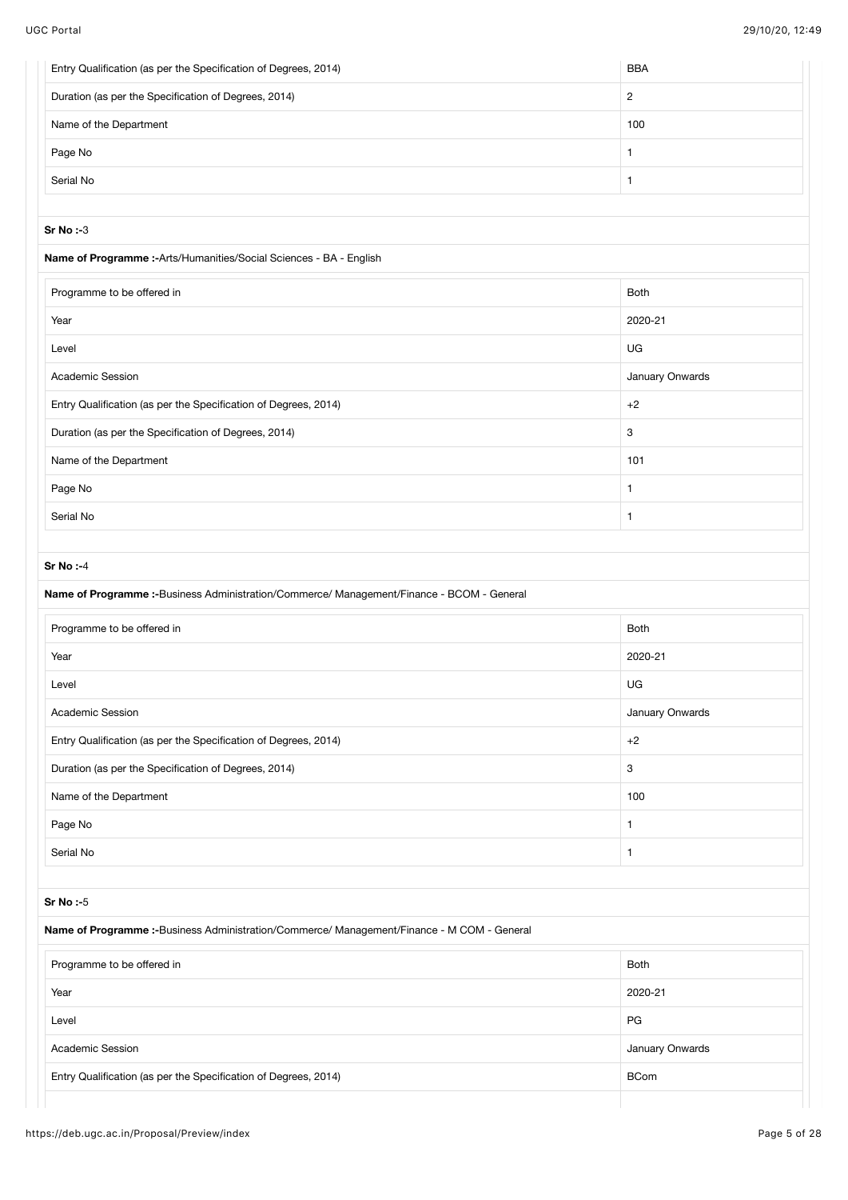| Entry Qualification (as per the Specification of Degrees, 2014)                                               | <b>BBA</b>      |
|---------------------------------------------------------------------------------------------------------------|-----------------|
| Duration (as per the Specification of Degrees, 2014)                                                          | $\overline{c}$  |
| Name of the Department                                                                                        | 100             |
| Page No                                                                                                       | $\mathbf{1}$    |
| Serial No                                                                                                     | $\mathbf{1}$    |
| <b>Sr No:-3</b>                                                                                               |                 |
| Name of Programme :- Arts/Humanities/Social Sciences - BA - English                                           |                 |
| Programme to be offered in                                                                                    | <b>Both</b>     |
| Year                                                                                                          | 2020-21         |
| Level                                                                                                         | UG              |
| Academic Session                                                                                              | January Onwards |
| Entry Qualification (as per the Specification of Degrees, 2014)                                               | $+2$            |
| Duration (as per the Specification of Degrees, 2014)                                                          | 3               |
|                                                                                                               | 101             |
| Name of the Department                                                                                        |                 |
| Page No<br>Serial No                                                                                          | $\mathbf{1}$    |
|                                                                                                               | $\mathbf{1}$    |
| <b>Sr No:-4</b>                                                                                               |                 |
| Name of Programme :- Business Administration/Commerce/ Management/Finance - BCOM - General                    |                 |
| Programme to be offered in                                                                                    | <b>Both</b>     |
| Year                                                                                                          | 2020-21         |
| Level                                                                                                         | UG              |
| Academic Session                                                                                              | January Onwards |
| Entry Qualification (as per the Specification of Degrees, 2014)                                               | $+2$            |
| Duration (as per the Specification of Degrees, 2014)                                                          | 3               |
| Name of the Department                                                                                        | 100             |
| Page No                                                                                                       | $\mathbf{1}$    |
| Serial No                                                                                                     | $\mathbf{1}$    |
|                                                                                                               |                 |
| <b>Sr No:-5</b><br>Name of Programme :-Business Administration/Commerce/ Management/Finance - M COM - General |                 |
|                                                                                                               |                 |
| Programme to be offered in                                                                                    | <b>Both</b>     |
| Year                                                                                                          | 2020-21         |
| Level                                                                                                         | PG              |
| Academic Session                                                                                              | January Onwards |
| Entry Qualification (as per the Specification of Degrees, 2014)                                               | <b>BCom</b>     |
|                                                                                                               |                 |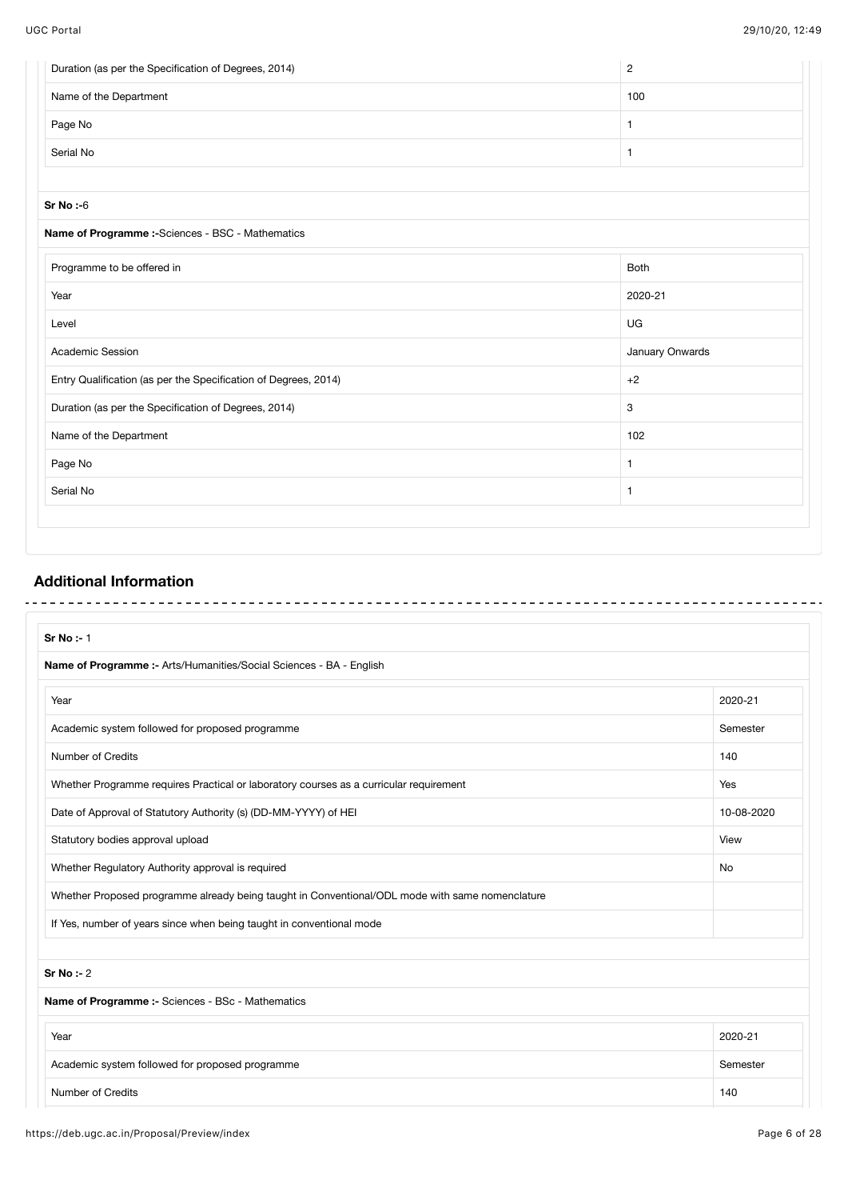| Duration (as per the Specification of Degrees, 2014)            | $\overline{c}$  |
|-----------------------------------------------------------------|-----------------|
| Name of the Department                                          | 100             |
| Page No                                                         | 1               |
| Serial No                                                       | 1               |
|                                                                 |                 |
| <b>Sr No:-6</b>                                                 |                 |
| Name of Programme :- Sciences - BSC - Mathematics               |                 |
| Programme to be offered in                                      | Both            |
| Year                                                            | 2020-21         |
| Level                                                           | UG              |
| Academic Session                                                | January Onwards |
| Entry Qualification (as per the Specification of Degrees, 2014) | $+2$            |
| Duration (as per the Specification of Degrees, 2014)            | 3               |
| Name of the Department                                          | 102             |
| Page No                                                         | 1               |
| Serial No                                                       | 1               |
|                                                                 |                 |

# **Additional Information**

 $\sim$ 

| Sr No :- 1                                                                                      |            |
|-------------------------------------------------------------------------------------------------|------------|
| Name of Programme :- Arts/Humanities/Social Sciences - BA - English                             |            |
| Year                                                                                            | 2020-21    |
| Academic system followed for proposed programme                                                 | Semester   |
| <b>Number of Credits</b>                                                                        | 140        |
| Whether Programme requires Practical or laboratory courses as a curricular requirement          | Yes        |
| Date of Approval of Statutory Authority (s) (DD-MM-YYYY) of HEI                                 | 10-08-2020 |
| Statutory bodies approval upload                                                                | View       |
| Whether Regulatory Authority approval is required                                               | No         |
| Whether Proposed programme already being taught in Conventional/ODL mode with same nomenclature |            |
| If Yes, number of years since when being taught in conventional mode                            |            |
| Sr No: $-2$                                                                                     |            |
| Name of Programme :- Sciences - BSc - Mathematics                                               |            |
| Year                                                                                            | 2020-21    |
| Academic system followed for proposed programme                                                 | Semester   |
| <b>Number of Credits</b>                                                                        | 140        |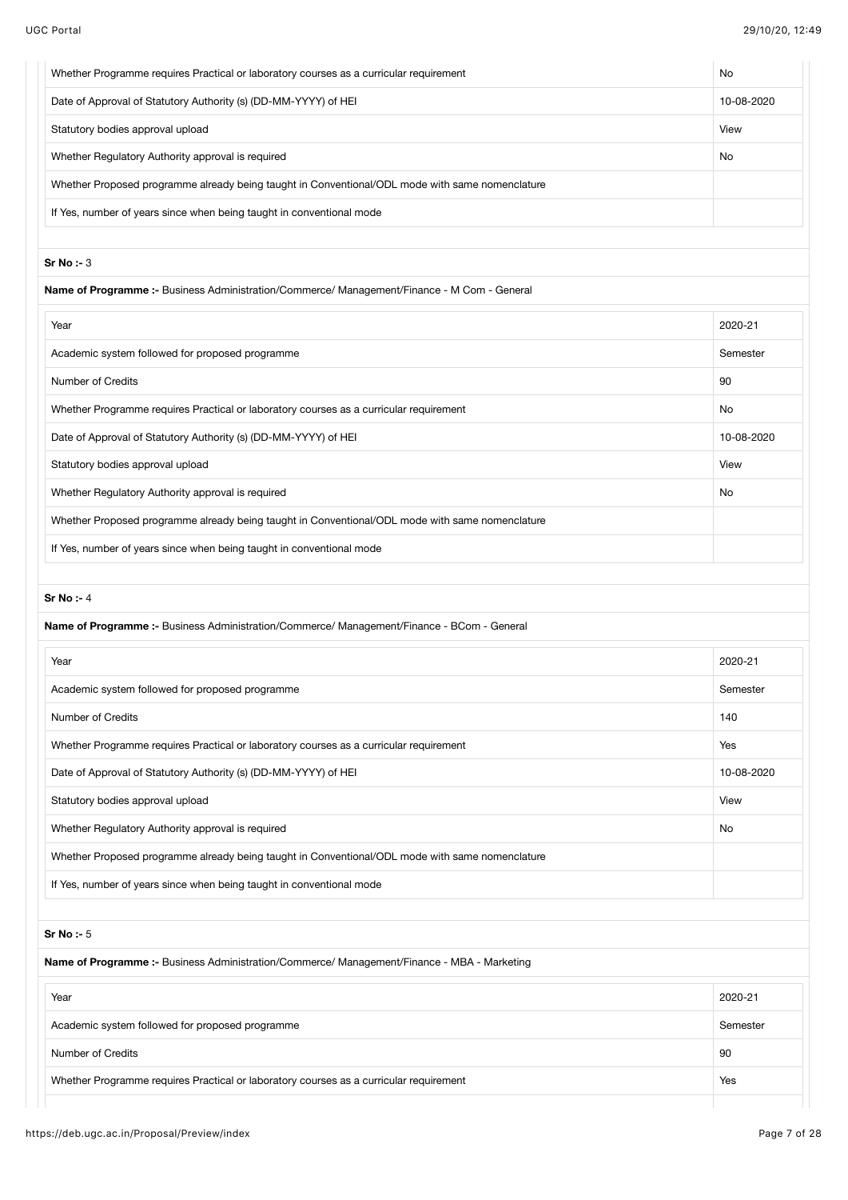| View<br>No<br>Name of Programme :- Business Administration/Commerce/ Management/Finance - M Com - General<br>2020-21<br>90<br>No<br>View<br>No<br>Name of Programme :- Business Administration/Commerce/ Management/Finance - BCom - General<br>2020-21<br>140<br>Yes<br>View<br>No<br>2020-21<br>90 | Whether Programme requires Practical or laboratory courses as a curricular requirement          | No         |
|------------------------------------------------------------------------------------------------------------------------------------------------------------------------------------------------------------------------------------------------------------------------------------------------------|-------------------------------------------------------------------------------------------------|------------|
|                                                                                                                                                                                                                                                                                                      | Date of Approval of Statutory Authority (s) (DD-MM-YYYY) of HEI                                 | 10-08-2020 |
|                                                                                                                                                                                                                                                                                                      | Statutory bodies approval upload                                                                |            |
|                                                                                                                                                                                                                                                                                                      | Whether Regulatory Authority approval is required                                               |            |
|                                                                                                                                                                                                                                                                                                      | Whether Proposed programme already being taught in Conventional/ODL mode with same nomenclature |            |
|                                                                                                                                                                                                                                                                                                      | If Yes, number of years since when being taught in conventional mode                            |            |
|                                                                                                                                                                                                                                                                                                      |                                                                                                 |            |
|                                                                                                                                                                                                                                                                                                      | $Sr No : -3$                                                                                    |            |
|                                                                                                                                                                                                                                                                                                      |                                                                                                 |            |
|                                                                                                                                                                                                                                                                                                      | Year                                                                                            |            |
|                                                                                                                                                                                                                                                                                                      | Academic system followed for proposed programme                                                 | Semester   |
|                                                                                                                                                                                                                                                                                                      | Number of Credits                                                                               |            |
|                                                                                                                                                                                                                                                                                                      | Whether Programme requires Practical or laboratory courses as a curricular requirement          |            |
|                                                                                                                                                                                                                                                                                                      | Date of Approval of Statutory Authority (s) (DD-MM-YYYY) of HEI                                 | 10-08-2020 |
|                                                                                                                                                                                                                                                                                                      | Statutory bodies approval upload                                                                |            |
|                                                                                                                                                                                                                                                                                                      | Whether Regulatory Authority approval is required                                               |            |
|                                                                                                                                                                                                                                                                                                      | Whether Proposed programme already being taught in Conventional/ODL mode with same nomenclature |            |
|                                                                                                                                                                                                                                                                                                      | If Yes, number of years since when being taught in conventional mode                            |            |
|                                                                                                                                                                                                                                                                                                      |                                                                                                 |            |
|                                                                                                                                                                                                                                                                                                      | Sr No: $-4$                                                                                     |            |
|                                                                                                                                                                                                                                                                                                      |                                                                                                 |            |
|                                                                                                                                                                                                                                                                                                      | Year                                                                                            |            |
|                                                                                                                                                                                                                                                                                                      | Academic system followed for proposed programme                                                 | Semester   |
|                                                                                                                                                                                                                                                                                                      | Number of Credits                                                                               |            |
|                                                                                                                                                                                                                                                                                                      | Whether Programme requires Practical or laboratory courses as a curricular requirement          |            |
|                                                                                                                                                                                                                                                                                                      | Date of Approval of Statutory Authority (s) (DD-MM-YYYY) of HEI                                 | 10-08-2020 |
|                                                                                                                                                                                                                                                                                                      | Statutory bodies approval upload                                                                |            |
|                                                                                                                                                                                                                                                                                                      | Whether Regulatory Authority approval is required                                               |            |
|                                                                                                                                                                                                                                                                                                      | Whether Proposed programme already being taught in Conventional/ODL mode with same nomenclature |            |
|                                                                                                                                                                                                                                                                                                      | If Yes, number of years since when being taught in conventional mode                            |            |
|                                                                                                                                                                                                                                                                                                      |                                                                                                 |            |
|                                                                                                                                                                                                                                                                                                      | Sr No: $-5$                                                                                     |            |
|                                                                                                                                                                                                                                                                                                      | Name of Programme :- Business Administration/Commerce/ Management/Finance - MBA - Marketing     |            |
|                                                                                                                                                                                                                                                                                                      | Year                                                                                            |            |
|                                                                                                                                                                                                                                                                                                      | Academic system followed for proposed programme                                                 | Semester   |
|                                                                                                                                                                                                                                                                                                      | Number of Credits                                                                               |            |
| Whether Programme requires Practical or laboratory courses as a curricular requirement<br>Yes                                                                                                                                                                                                        |                                                                                                 |            |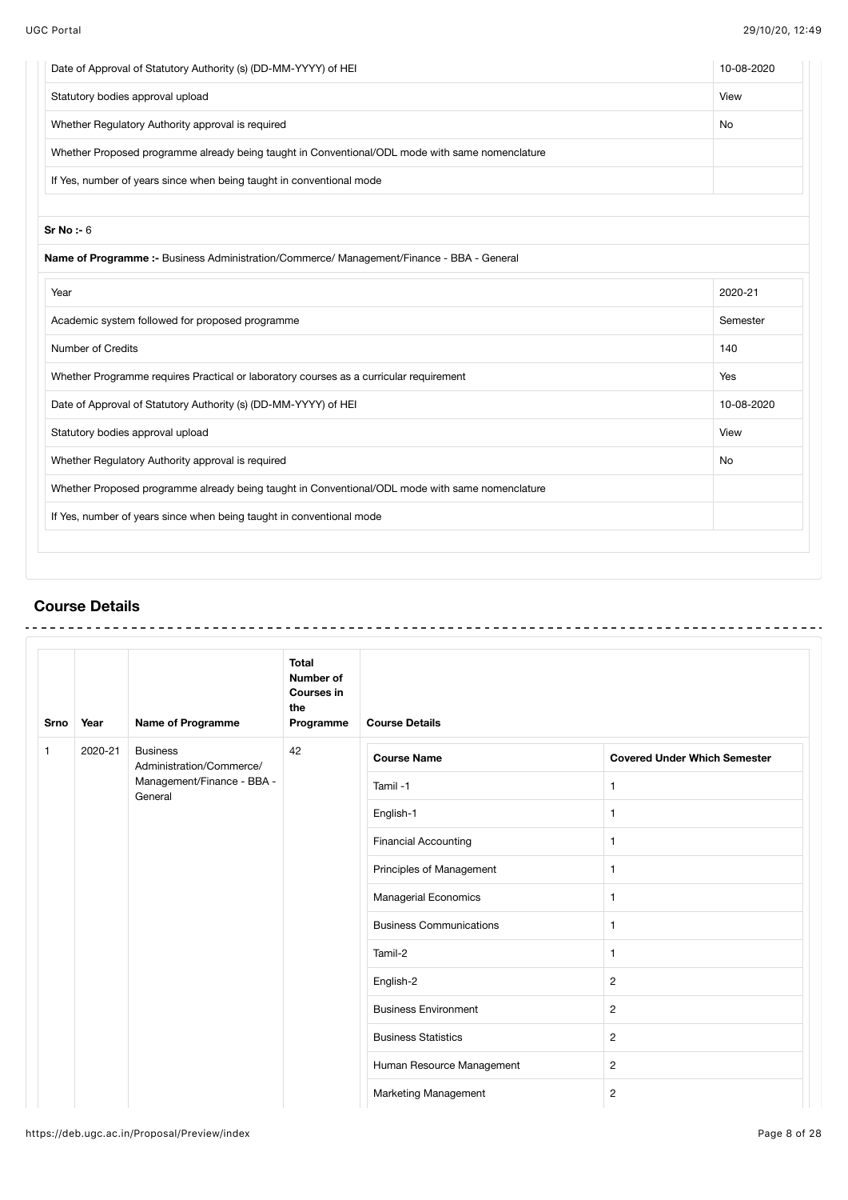| Date of Approval of Statutory Authority (s) (DD-MM-YYYY) of HEI                                 | 10-08-2020 |
|-------------------------------------------------------------------------------------------------|------------|
| Statutory bodies approval upload                                                                | View       |
| Whether Regulatory Authority approval is required                                               | No         |
| Whether Proposed programme already being taught in Conventional/ODL mode with same nomenclature |            |
| If Yes, number of years since when being taught in conventional mode                            |            |
| Sr No : 6                                                                                       |            |
| Name of Programme :- Business Administration/Commerce/ Management/Finance - BBA - General       |            |
| Year                                                                                            | 2020-21    |
| Academic system followed for proposed programme                                                 | Semester   |
| <b>Number of Credits</b>                                                                        | 140        |
| Whether Programme requires Practical or laboratory courses as a curricular requirement          | Yes        |
| Date of Approval of Statutory Authority (s) (DD-MM-YYYY) of HEI                                 | 10-08-2020 |
| Statutory bodies approval upload                                                                | View       |
| Whether Regulatory Authority approval is required                                               | No         |
| Whether Proposed programme already being taught in Conventional/ODL mode with same nomenclature |            |
|                                                                                                 |            |

# **Course Details**

| <b>Srno</b>  | <b>Name of Programme</b><br>Year      |                                             | <b>Total</b><br><b>Number of</b><br><b>Courses in</b><br>the<br>Programme | <b>Course Details</b> |                                     |
|--------------|---------------------------------------|---------------------------------------------|---------------------------------------------------------------------------|-----------------------|-------------------------------------|
| $\mathbf{1}$ | 2020-21                               | <b>Business</b><br>Administration/Commerce/ | 42                                                                        | <b>Course Name</b>    | <b>Covered Under Which Semester</b> |
|              | Management/Finance - BBA -<br>General |                                             | Tamil-1                                                                   | 1                     |                                     |
|              |                                       |                                             | English-1                                                                 | $\mathbf{1}$          |                                     |
|              |                                       |                                             | <b>Financial Accounting</b>                                               | 1                     |                                     |
|              |                                       |                                             | Principles of Management                                                  | $\mathbf{1}$          |                                     |
|              |                                       |                                             | Managerial Economics                                                      | $\mathbf{1}$          |                                     |
|              |                                       |                                             | <b>Business Communications</b>                                            | $\mathbf{1}$          |                                     |
|              |                                       |                                             |                                                                           | Tamil-2               | 1                                   |
|              |                                       |                                             | English-2                                                                 | $\mathbf{2}$          |                                     |
|              |                                       |                                             | <b>Business Environment</b>                                               | $\overline{2}$        |                                     |
|              |                                       |                                             | <b>Business Statistics</b>                                                | $\mathbf{2}$          |                                     |
|              |                                       |                                             | Human Resource Management                                                 | $\mathbf{2}$          |                                     |
|              |                                       |                                             |                                                                           | Marketing Management  | $\overline{2}$                      |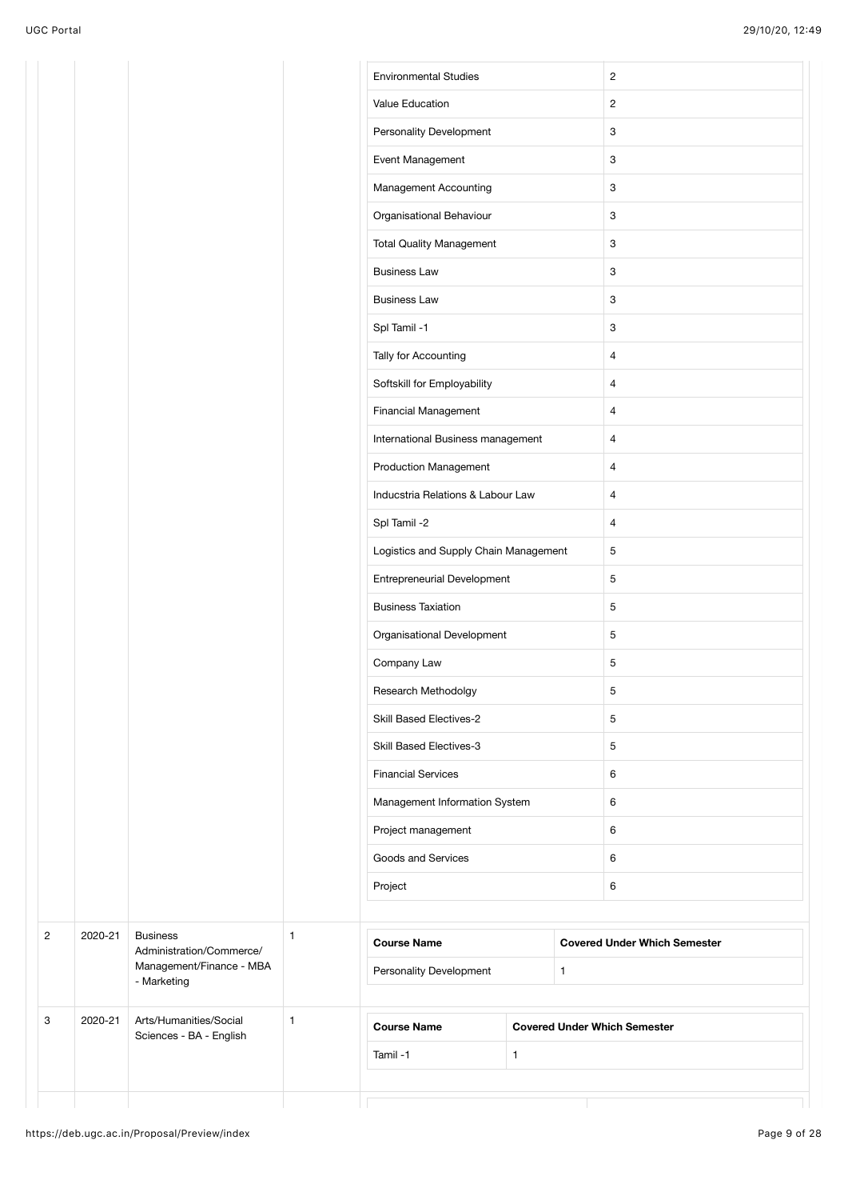|                |         |                                             |                                                                             | <b>Environmental Studies</b><br>Value Education |                |                                   | $\overline{c}$<br>$\overline{2}$    |  |                |
|----------------|---------|---------------------------------------------|-----------------------------------------------------------------------------|-------------------------------------------------|----------------|-----------------------------------|-------------------------------------|--|----------------|
|                |         |                                             |                                                                             | Personality Development                         |                |                                   | 3                                   |  |                |
|                |         |                                             |                                                                             | Event Management                                |                |                                   | $\ensuremath{\mathsf{3}}$           |  |                |
|                |         |                                             |                                                                             | Management Accounting                           |                |                                   | $\ensuremath{\mathsf{3}}$           |  |                |
|                |         |                                             |                                                                             | Organisational Behaviour                        |                |                                   | $\ensuremath{\mathsf{3}}$           |  |                |
|                |         |                                             |                                                                             | <b>Total Quality Management</b>                 |                |                                   | 3                                   |  |                |
|                |         |                                             |                                                                             | <b>Business Law</b>                             |                |                                   | 3                                   |  |                |
|                |         |                                             |                                                                             | <b>Business Law</b>                             |                |                                   | $\mathbf{3}$                        |  |                |
|                |         |                                             |                                                                             | Spl Tamil -1                                    |                |                                   | $\mathbf{3}$                        |  |                |
|                |         |                                             |                                                                             | Tally for Accounting                            |                |                                   | 4                                   |  |                |
|                |         |                                             |                                                                             | Softskill for Employability                     |                |                                   | $\overline{4}$                      |  |                |
|                |         |                                             |                                                                             | <b>Financial Management</b>                     |                |                                   | $\overline{4}$                      |  |                |
|                |         |                                             |                                                                             | International Business management               |                |                                   | 4                                   |  |                |
|                |         |                                             | <b>Production Management</b>                                                |                                                 |                | $\overline{4}$                    |                                     |  |                |
|                |         |                                             |                                                                             |                                                 |                | Inducstria Relations & Labour Law |                                     |  | $\overline{4}$ |
|                |         |                                             | Spl Tamil -2                                                                |                                                 |                | $\overline{4}$                    |                                     |  |                |
|                |         |                                             | Logistics and Supply Chain Management<br><b>Entrepreneurial Development</b> |                                                 | $\overline{5}$ |                                   |                                     |  |                |
|                |         |                                             |                                                                             |                                                 | 5              |                                   |                                     |  |                |
|                |         |                                             |                                                                             | <b>Business Taxiation</b>                       |                |                                   | $\sqrt{5}$                          |  |                |
|                |         |                                             |                                                                             | Organisational Development                      |                |                                   | $\sqrt{5}$                          |  |                |
|                |         |                                             |                                                                             | Company Law                                     |                |                                   | $\sqrt{5}$                          |  |                |
|                |         |                                             |                                                                             | Research Methodolgy                             |                |                                   | 5                                   |  |                |
|                |         |                                             |                                                                             | <b>Skill Based Electives-2</b>                  |                |                                   | $\sqrt{5}$                          |  |                |
|                |         |                                             |                                                                             | Skill Based Electives-3                         |                |                                   | 5                                   |  |                |
|                |         |                                             |                                                                             | <b>Financial Services</b>                       |                |                                   | 6                                   |  |                |
|                |         |                                             |                                                                             | Management Information System                   |                |                                   | 6                                   |  |                |
|                |         |                                             |                                                                             | Project management                              |                |                                   | 6                                   |  |                |
|                |         |                                             |                                                                             | Goods and Services                              |                |                                   | 6                                   |  |                |
|                |         |                                             |                                                                             | Project                                         |                |                                   | 6                                   |  |                |
|                |         |                                             |                                                                             |                                                 |                |                                   |                                     |  |                |
| $\overline{c}$ | 2020-21 | <b>Business</b><br>Administration/Commerce/ | $\mathbf{1}$                                                                | <b>Course Name</b>                              |                |                                   | <b>Covered Under Which Semester</b> |  |                |
|                |         | Management/Finance - MBA<br>- Marketing     |                                                                             | Personality Development                         |                | $\mathbf{1}$                      |                                     |  |                |
| 3              | 2020-21 | Arts/Humanities/Social                      | $\mathbf{1}$                                                                | <b>Course Name</b>                              |                |                                   | <b>Covered Under Which Semester</b> |  |                |
|                |         | Sciences - BA - English                     |                                                                             | Tamil-1                                         | $\mathbf{1}$   |                                   |                                     |  |                |
|                |         |                                             |                                                                             |                                                 |                |                                   |                                     |  |                |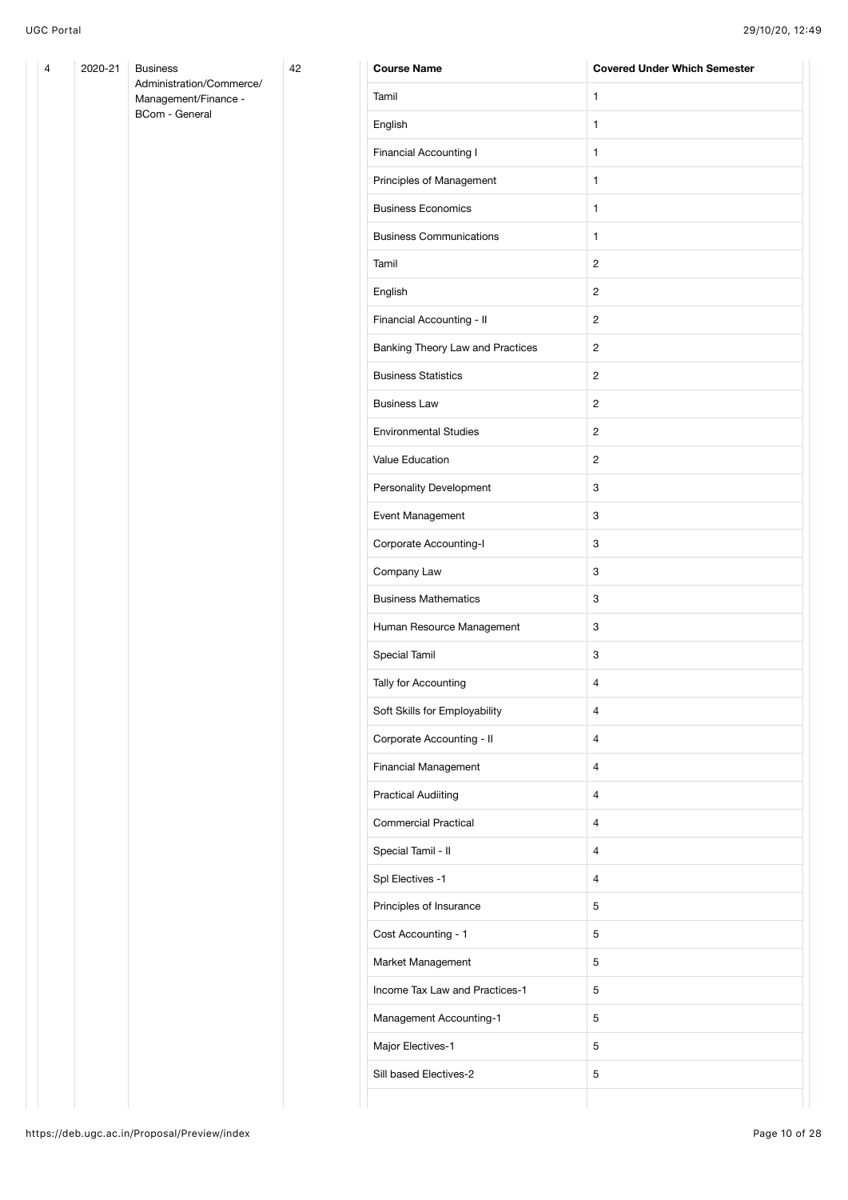| 4 | 2020-21 | <b>Business</b>                                  | 42 | <b>Course Name</b>               | <b>Covered Under Which Semester</b> |
|---|---------|--------------------------------------------------|----|----------------------------------|-------------------------------------|
|   |         | Administration/Commerce/<br>Management/Finance - |    | Tamil                            | $\mathbf{1}$                        |
|   |         | BCom - General                                   |    | English                          | $\mathbf{1}$                        |
|   |         |                                                  |    | Financial Accounting I           | $\mathbf{1}$                        |
|   |         |                                                  |    | Principles of Management         | $\mathbf{1}$                        |
|   |         |                                                  |    | <b>Business Economics</b>        | $\mathbf{1}$                        |
|   |         |                                                  |    | <b>Business Communications</b>   | $\mathbf{1}$                        |
|   |         |                                                  |    | Tamil                            | $\overline{c}$                      |
|   |         |                                                  |    | English                          | $\overline{c}$                      |
|   |         |                                                  |    | Financial Accounting - II        | $\overline{c}$                      |
|   |         |                                                  |    | Banking Theory Law and Practices | $\overline{c}$                      |
|   |         |                                                  |    | <b>Business Statistics</b>       | $\overline{c}$                      |
|   |         |                                                  |    | <b>Business Law</b>              | $\overline{c}$                      |
|   |         |                                                  |    | <b>Environmental Studies</b>     | $\overline{c}$                      |
|   |         |                                                  |    | Value Education                  | $\overline{c}$                      |
|   |         |                                                  |    | Personality Development          | $\ensuremath{\mathsf{3}}$           |
|   |         |                                                  |    | Event Management                 | $\ensuremath{\mathsf{3}}$           |
|   |         |                                                  |    | Corporate Accounting-I           | 3                                   |
|   |         |                                                  |    | Company Law                      | 3                                   |
|   |         |                                                  |    | <b>Business Mathematics</b>      | 3                                   |
|   |         |                                                  |    | Human Resource Management        | 3                                   |
|   |         |                                                  |    | Special Tamil                    | 3                                   |
|   |         |                                                  |    | Tally for Accounting             | $\overline{4}$                      |
|   |         |                                                  |    | Soft Skills for Employability    | 4                                   |
|   |         |                                                  |    | Corporate Accounting - II        | $\overline{4}$                      |
|   |         |                                                  |    | Financial Management             | $\overline{4}$                      |
|   |         |                                                  |    | <b>Practical Audiiting</b>       | $\overline{4}$                      |
|   |         |                                                  |    | <b>Commercial Practical</b>      | $\overline{4}$                      |
|   |         |                                                  |    | Special Tamil - II               | $\overline{4}$                      |
|   |         |                                                  |    | Spl Electives -1                 | $\overline{4}$                      |
|   |         |                                                  |    | Principles of Insurance          | $\mathbf 5$                         |
|   |         |                                                  |    | Cost Accounting - 1              | $\mathbf 5$                         |
|   |         |                                                  |    | Market Management                | $\,$ 5 $\,$                         |
|   |         |                                                  |    | Income Tax Law and Practices-1   | $\mathbf 5$                         |
|   |         |                                                  |    | Management Accounting-1          | 5                                   |
|   |         |                                                  |    | Major Electives-1                | 5                                   |
|   |         |                                                  |    | Sill based Electives-2           | 5                                   |
|   |         |                                                  |    |                                  |                                     |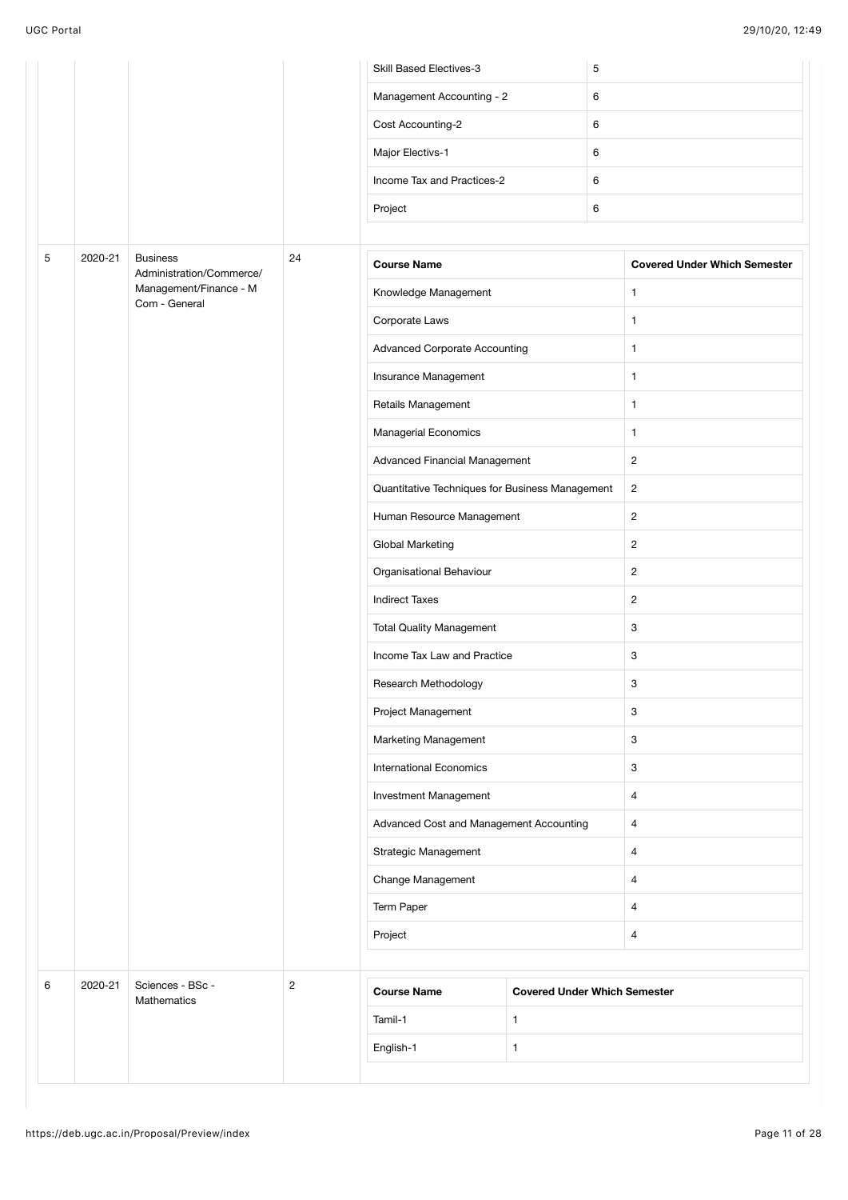|   |         |                                             |                                                         | <b>Skill Based Electives-3</b> |                                     | 5                               |                                     |  |   |
|---|---------|---------------------------------------------|---------------------------------------------------------|--------------------------------|-------------------------------------|---------------------------------|-------------------------------------|--|---|
|   |         |                                             |                                                         | Management Accounting - 2      |                                     | 6                               |                                     |  |   |
|   |         |                                             |                                                         | Cost Accounting-2              |                                     | 6                               |                                     |  |   |
|   |         |                                             |                                                         | Major Electivs-1               |                                     | 6                               |                                     |  |   |
|   |         |                                             | Income Tax and Practices-2                              |                                | 6                                   |                                 |                                     |  |   |
|   |         |                                             |                                                         | Project                        |                                     | 6                               |                                     |  |   |
|   |         |                                             |                                                         |                                |                                     |                                 |                                     |  |   |
| 5 | 2020-21 | <b>Business</b><br>Administration/Commerce/ | 24                                                      | <b>Course Name</b>             |                                     |                                 | <b>Covered Under Which Semester</b> |  |   |
|   |         | Management/Finance - M<br>Com - General     |                                                         | Knowledge Management           |                                     |                                 | $\mathbf{1}$                        |  |   |
|   |         |                                             | Corporate Laws                                          |                                |                                     | $\mathbf{1}$                    |                                     |  |   |
|   |         |                                             | <b>Advanced Corporate Accounting</b>                    |                                |                                     | $\mathbf{1}$                    |                                     |  |   |
|   |         |                                             |                                                         | Insurance Management           |                                     |                                 | $\mathbf{1}$                        |  |   |
|   |         |                                             |                                                         | Retails Management             |                                     |                                 | $\mathbf{1}$                        |  |   |
|   |         |                                             |                                                         | Managerial Economics           |                                     |                                 | $\mathbf{1}$                        |  |   |
|   |         |                                             |                                                         | Advanced Financial Management  |                                     | $\overline{c}$                  |                                     |  |   |
|   |         |                                             | Quantitative Techniques for Business Management         |                                |                                     | $\overline{c}$                  |                                     |  |   |
|   |         |                                             | Human Resource Management<br>Global Marketing           |                                |                                     | $\overline{c}$                  |                                     |  |   |
|   |         |                                             |                                                         |                                |                                     | $\overline{c}$                  |                                     |  |   |
|   |         |                                             |                                                         | Organisational Behaviour       |                                     |                                 | $\overline{2}$                      |  |   |
|   |         |                                             |                                                         | <b>Indirect Taxes</b>          |                                     |                                 | $\overline{c}$                      |  |   |
|   |         |                                             |                                                         |                                |                                     | <b>Total Quality Management</b> |                                     |  | 3 |
|   |         |                                             |                                                         | Income Tax Law and Practice    |                                     |                                 | $\ensuremath{\mathsf{3}}$           |  |   |
|   |         |                                             |                                                         | Research Methodology           |                                     |                                 | 3                                   |  |   |
|   |         |                                             |                                                         | Project Management             |                                     |                                 | $\ensuremath{\mathsf{3}}$           |  |   |
|   |         |                                             |                                                         | Marketing Management           |                                     |                                 | 3                                   |  |   |
|   |         |                                             |                                                         | <b>International Economics</b> |                                     |                                 | 3                                   |  |   |
|   |         |                                             | Investment Management                                   |                                |                                     | $\overline{4}$                  |                                     |  |   |
|   |         |                                             | Advanced Cost and Management Accounting                 |                                |                                     | $\overline{4}$                  |                                     |  |   |
|   |         |                                             | Strategic Management<br>Change Management<br>Term Paper |                                |                                     | $\overline{4}$                  |                                     |  |   |
|   |         |                                             |                                                         |                                |                                     |                                 | $\overline{4}$                      |  |   |
|   |         |                                             |                                                         |                                |                                     | $\overline{4}$                  |                                     |  |   |
|   |         |                                             |                                                         | Project                        |                                     |                                 | $\overline{4}$                      |  |   |
|   |         |                                             |                                                         |                                |                                     |                                 |                                     |  |   |
| 6 | 2020-21 | Sciences - BSc -<br>Mathematics             | $\overline{c}$                                          | <b>Course Name</b>             | <b>Covered Under Which Semester</b> |                                 |                                     |  |   |
|   |         |                                             |                                                         | Tamil-1                        | $\mathbf{1}$                        |                                 |                                     |  |   |
|   |         |                                             |                                                         | English-1                      | $\mathbf{1}$                        |                                 |                                     |  |   |
|   |         |                                             |                                                         |                                |                                     |                                 |                                     |  |   |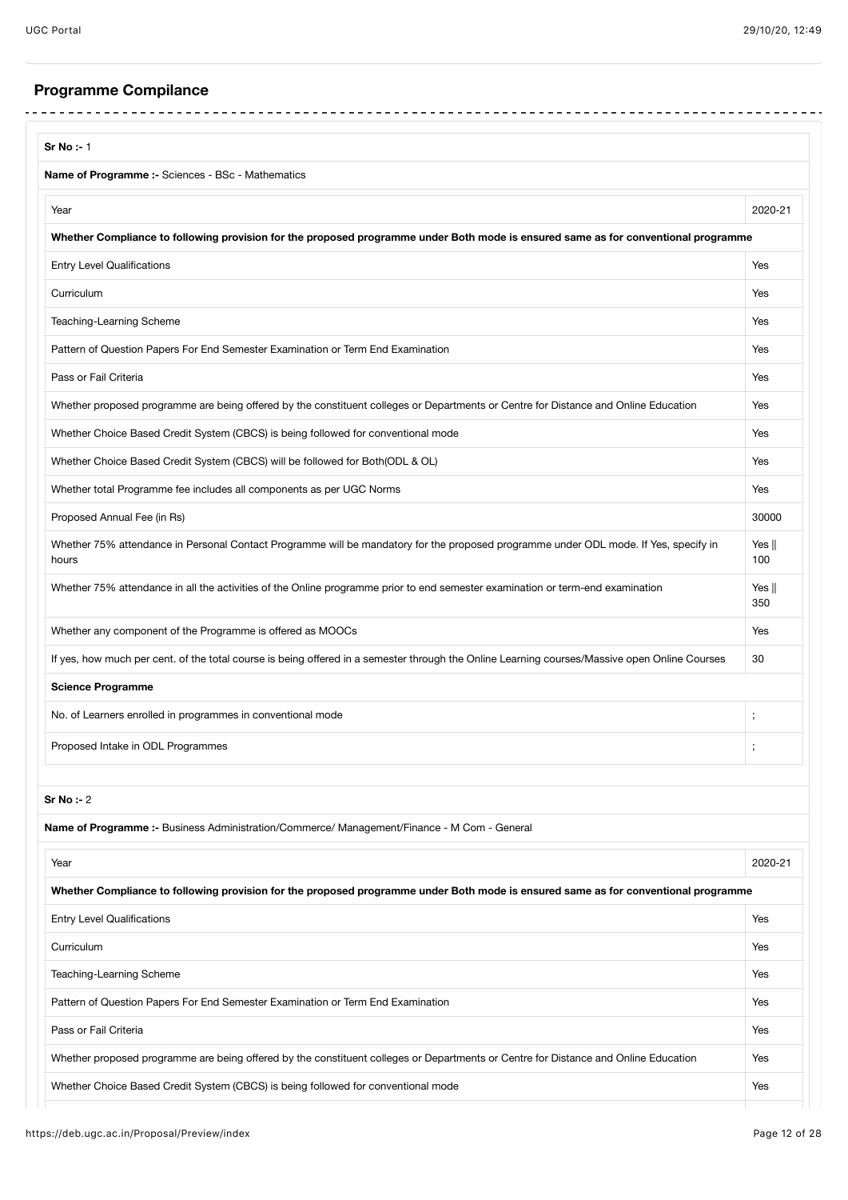# **Programme Compilance**

| <b>Sr No:-1</b>                                                                                                                               |                        |
|-----------------------------------------------------------------------------------------------------------------------------------------------|------------------------|
| <b>Name of Programme :-</b> Sciences - BSc - Mathematics                                                                                      |                        |
| Year                                                                                                                                          | 2020-21                |
| Whether Compliance to following provision for the proposed programme under Both mode is ensured same as for conventional programme            |                        |
| <b>Entry Level Qualifications</b>                                                                                                             | Yes                    |
| Curriculum                                                                                                                                    | Yes                    |
| Teaching-Learning Scheme                                                                                                                      | Yes                    |
| Pattern of Question Papers For End Semester Examination or Term End Examination                                                               | Yes                    |
| Pass or Fail Criteria                                                                                                                         | Yes                    |
| Whether proposed programme are being offered by the constituent colleges or Departments or Centre for Distance and Online Education           | Yes                    |
| Whether Choice Based Credit System (CBCS) is being followed for conventional mode                                                             | Yes                    |
| Whether Choice Based Credit System (CBCS) will be followed for Both(ODL & OL)                                                                 | Yes                    |
| Whether total Programme fee includes all components as per UGC Norms                                                                          | Yes                    |
| Proposed Annual Fee (in Rs)                                                                                                                   | 30000                  |
| Whether 75% attendance in Personal Contact Programme will be mandatory for the proposed programme under ODL mode. If Yes, specify in<br>hours | Yes $\parallel$<br>100 |
| Whether 75% attendance in all the activities of the Online programme prior to end semester examination or term-end examination                | Yes $\parallel$<br>350 |
| Whether any component of the Programme is offered as MOOCs                                                                                    | Yes                    |
| If yes, how much per cent. of the total course is being offered in a semester through the Online Learning courses/Massive open Online Courses | 30                     |
| <b>Science Programme</b>                                                                                                                      |                        |
| No. of Learners enrolled in programmes in conventional mode                                                                                   | ;                      |
| Proposed Intake in ODL Programmes                                                                                                             | ,                      |
| Sr No : 2                                                                                                                                     |                        |
| Name of Programme :- Business Administration/Commerce/ Management/Finance - M Com - General                                                   |                        |
| Year                                                                                                                                          | 2020-21                |
| Whether Compliance to following provision for the proposed programme under Both mode is ensured same as for conventional programme            |                        |
| <b>Entry Level Qualifications</b>                                                                                                             | Yes                    |
| Curriculum                                                                                                                                    | Yes                    |
| Teaching-Learning Scheme                                                                                                                      | Yes                    |
| Pattern of Question Papers For End Semester Examination or Term End Examination                                                               | Yes                    |
| Pass or Fail Criteria                                                                                                                         | Yes                    |
| Whether proposed programme are being offered by the constituent colleges or Departments or Centre for Distance and Online Education           | Yes                    |
| Whether Choice Based Credit System (CBCS) is being followed for conventional mode                                                             | Yes                    |
|                                                                                                                                               |                        |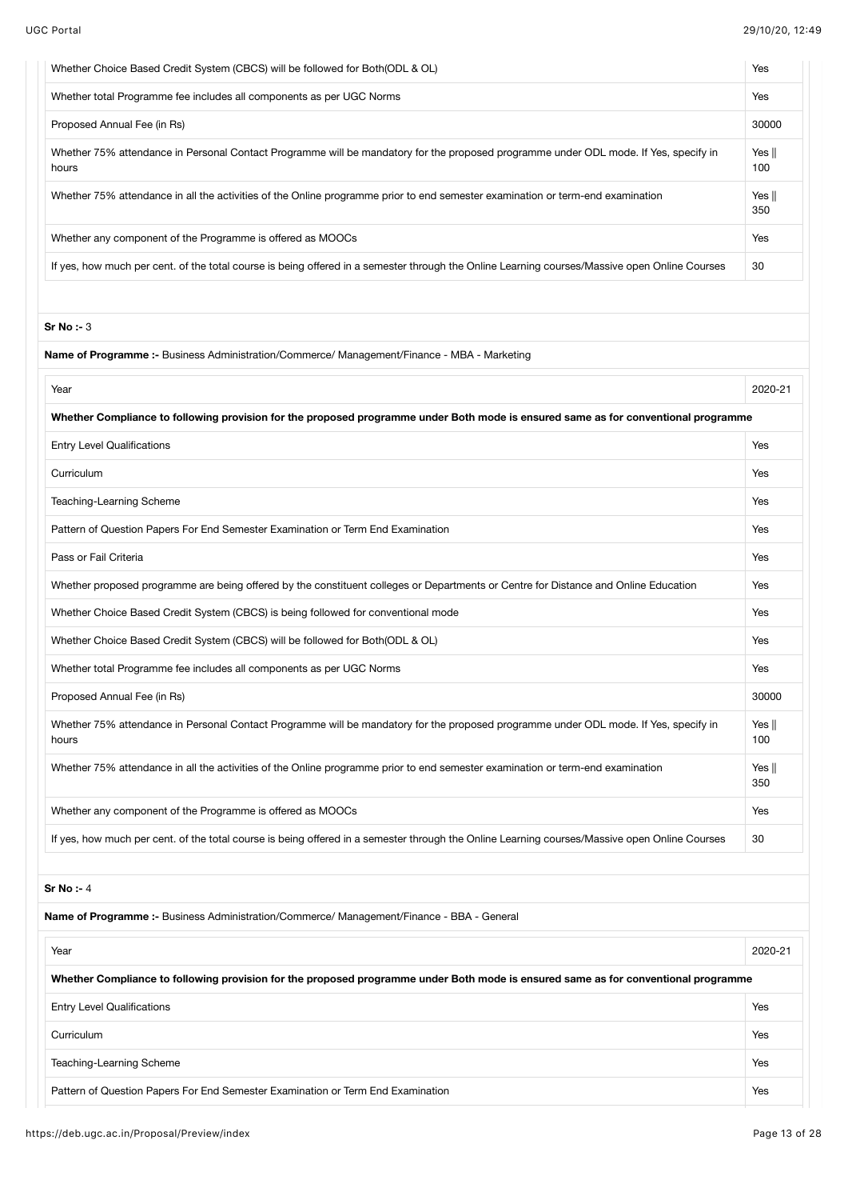| Whether Choice Based Credit System (CBCS) will be followed for Both(ODL & OL)                                                                 | Yes                    |
|-----------------------------------------------------------------------------------------------------------------------------------------------|------------------------|
| Whether total Programme fee includes all components as per UGC Norms                                                                          | Yes                    |
| Proposed Annual Fee (in Rs)                                                                                                                   | 30000                  |
| Whether 75% attendance in Personal Contact Programme will be mandatory for the proposed programme under ODL mode. If Yes, specify in<br>hours | Yes $\parallel$<br>100 |
| Whether 75% attendance in all the activities of the Online programme prior to end semester examination or term-end examination                | Yes $\parallel$<br>350 |
| Whether any component of the Programme is offered as MOOCs                                                                                    | Yes                    |
| If yes, how much per cent. of the total course is being offered in a semester through the Online Learning courses/Massive open Online Courses | 30                     |
|                                                                                                                                               |                        |
| Sr No : 3                                                                                                                                     |                        |
| Name of Programme :- Business Administration/Commerce/ Management/Finance - MBA - Marketing                                                   |                        |
| Year                                                                                                                                          | 2020-21                |
| Whether Compliance to following provision for the proposed programme under Both mode is ensured same as for conventional programme            |                        |
| <b>Entry Level Qualifications</b>                                                                                                             | Yes                    |
| Curriculum                                                                                                                                    | Yes                    |
| Teaching-Learning Scheme                                                                                                                      | Yes                    |
| Pattern of Question Papers For End Semester Examination or Term End Examination                                                               | Yes                    |
| Pass or Fail Criteria                                                                                                                         | Yes                    |
| Whether proposed programme are being offered by the constituent colleges or Departments or Centre for Distance and Online Education           | Yes                    |
| Whether Choice Based Credit System (CBCS) is being followed for conventional mode                                                             | Yes                    |
| Whether Choice Based Credit System (CBCS) will be followed for Both(ODL & OL)                                                                 | Yes                    |
| Whether total Programme fee includes all components as per UGC Norms                                                                          | Yes                    |
| Proposed Annual Fee (in Rs)                                                                                                                   | 30000                  |
| Whether 75% attendance in Personal Contact Programme will be mandatory for the proposed programme under ODL mode. If Yes, specify in<br>hours | Yes $\parallel$<br>100 |
| Whether 75% attendance in all the activities of the Online programme prior to end semester examination or term-end examination                | Yes $\parallel$<br>350 |
| Whether any component of the Programme is offered as MOOCs                                                                                    | Yes                    |
| If yes, how much per cent. of the total course is being offered in a semester through the Online Learning courses/Massive open Online Courses | 30                     |
| <b>Sr No:-4</b>                                                                                                                               |                        |
| Name of Programme :- Business Administration/Commerce/ Management/Finance - BBA - General                                                     |                        |
| Year                                                                                                                                          | 2020-21                |
| Whether Compliance to following provision for the proposed programme under Both mode is ensured same as for conventional programme            |                        |
| <b>Entry Level Qualifications</b>                                                                                                             | Yes                    |
| Curriculum                                                                                                                                    | Yes                    |
| Teaching-Learning Scheme                                                                                                                      | Yes                    |
| Pattern of Question Papers For End Semester Examination or Term End Examination                                                               | Yes                    |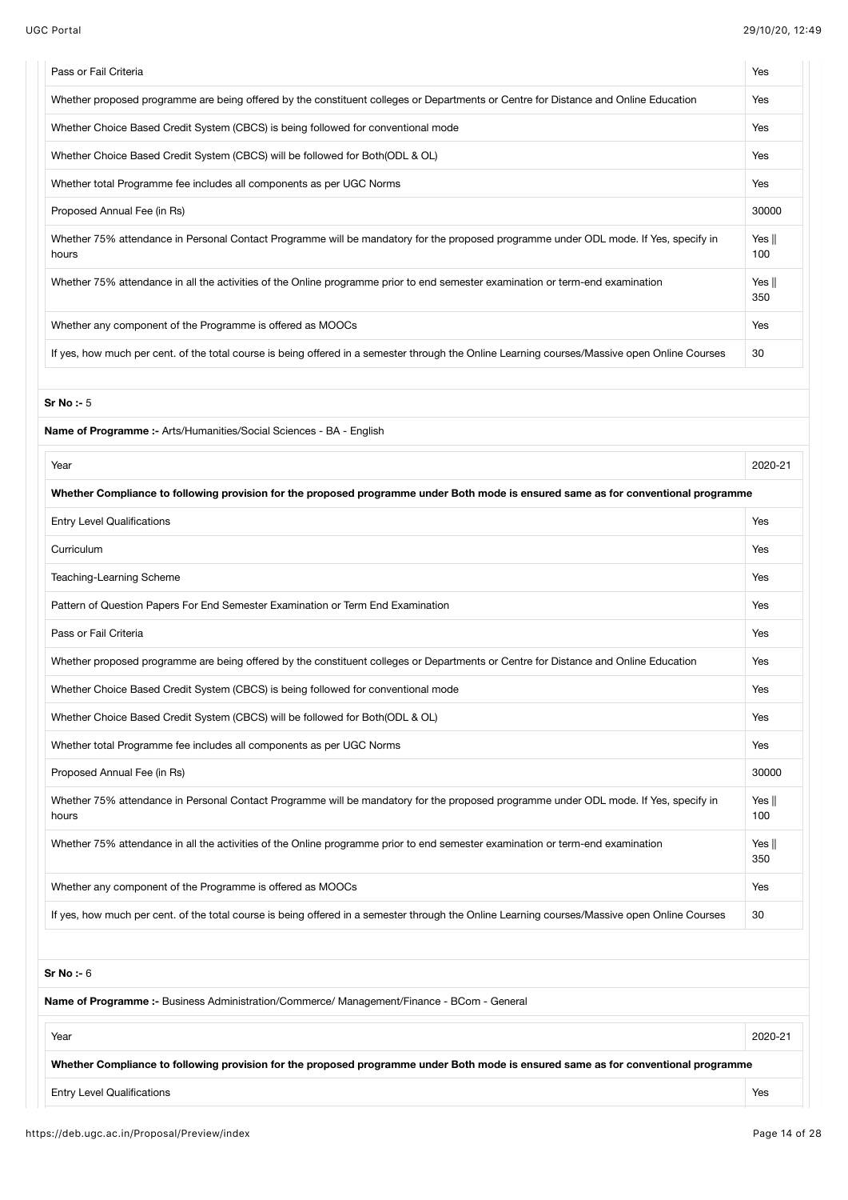| <b>UGC Portal</b>                                                                                                                             | 29/10/20, 12:49        |
|-----------------------------------------------------------------------------------------------------------------------------------------------|------------------------|
| Pass or Fail Criteria                                                                                                                         | Yes                    |
| Whether proposed programme are being offered by the constituent colleges or Departments or Centre for Distance and Online Education           | Yes                    |
| Whether Choice Based Credit System (CBCS) is being followed for conventional mode                                                             | Yes                    |
| Whether Choice Based Credit System (CBCS) will be followed for Both(ODL & OL)                                                                 | Yes                    |
| Whether total Programme fee includes all components as per UGC Norms                                                                          | Yes                    |
| Proposed Annual Fee (in Rs)                                                                                                                   | 30000                  |
| Whether 75% attendance in Personal Contact Programme will be mandatory for the proposed programme under ODL mode. If Yes, specify in<br>hours | Yes $\parallel$<br>100 |
| Whether 75% attendance in all the activities of the Online programme prior to end semester examination or term-end examination                | Yes $\parallel$<br>350 |
| Whether any component of the Programme is offered as MOOCs                                                                                    | Yes                    |
| If yes, how much per cent. of the total course is being offered in a semester through the Online Learning courses/Massive open Online Courses | 30                     |
| Sr No: $-5$                                                                                                                                   |                        |
| Name of Programme :- Arts/Humanities/Social Sciences - BA - English                                                                           |                        |
| Year                                                                                                                                          | 2020-21                |
| Whether Compliance to following provision for the proposed programme under Both mode is ensured same as for conventional programme            |                        |
| <b>Entry Level Qualifications</b>                                                                                                             | Yes                    |
| Curriculum                                                                                                                                    | Yes                    |
| Teaching-Learning Scheme                                                                                                                      | Yes                    |
| Pattern of Question Papers For End Semester Examination or Term End Examination                                                               | Yes                    |
| Pass or Fail Criteria                                                                                                                         | Yes                    |
| Whether proposed programme are being offered by the constituent colleges or Departments or Centre for Distance and Online Education           | Yes                    |
| Whether Choice Based Credit System (CBCS) is being followed for conventional mode                                                             | Yes                    |
| Whether Choice Based Credit System (CBCS) will be followed for Both(ODL & OL)                                                                 | Yes                    |
| Whether total Programme fee includes all components as per UGC Norms                                                                          | Yes                    |
| Proposed Annual Fee (in Rs)                                                                                                                   | 30000                  |
| Whether 75% attendance in Personal Contact Programme will be mandatory for the proposed programme under ODL mode. If Yes, specify in<br>hours | Yes $\parallel$<br>100 |
| Whether 75% attendance in all the activities of the Online programme prior to end semester examination or term-end examination                | Yes $\parallel$<br>350 |
| Whether any component of the Programme is offered as MOOCs                                                                                    | Yes                    |
| If yes, how much per cent. of the total course is being offered in a semester through the Online Learning courses/Massive open Online Courses | 30                     |
|                                                                                                                                               |                        |
| Sr No: $-6$                                                                                                                                   |                        |
| Name of Programme :- Business Administration/Commerce/ Management/Finance - BCom - General                                                    |                        |

Entry Level Qualifications Yes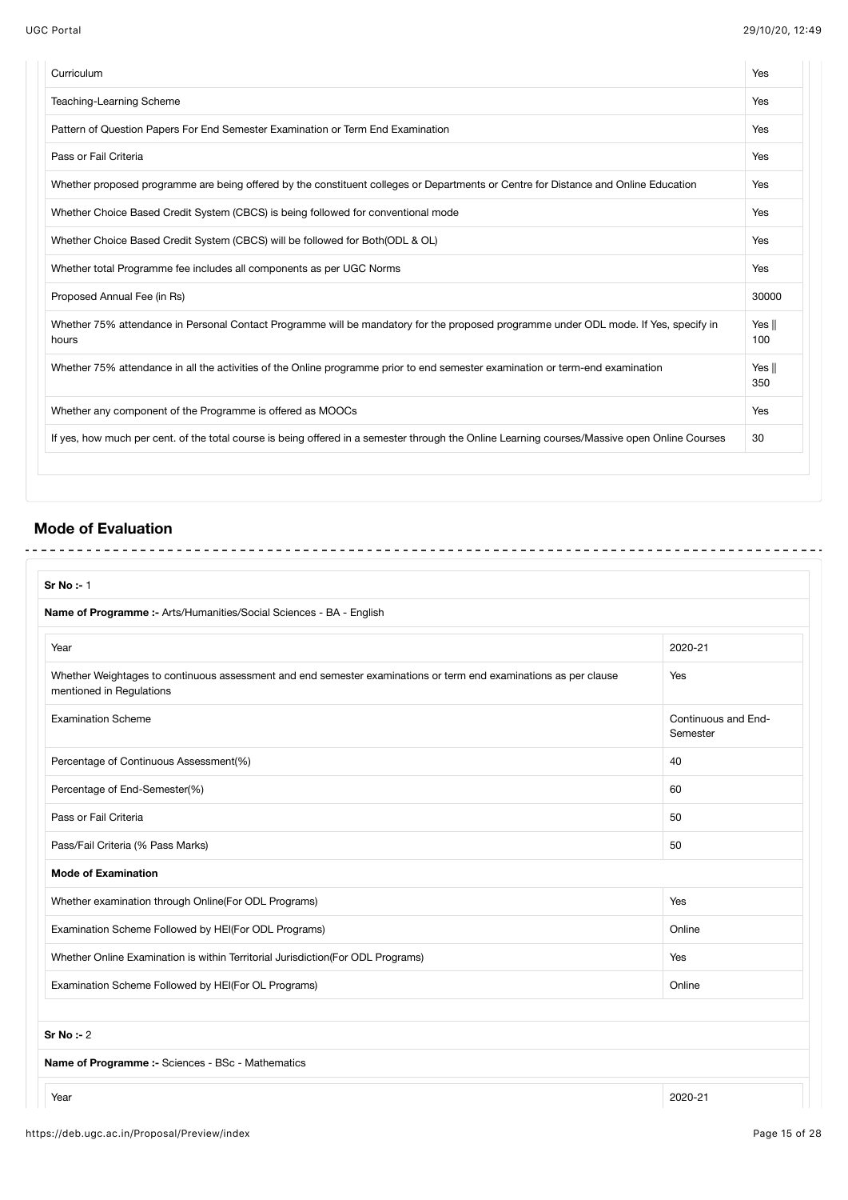| Curriculum                                                                                                                                    | Yes                    |
|-----------------------------------------------------------------------------------------------------------------------------------------------|------------------------|
| Teaching-Learning Scheme                                                                                                                      | Yes                    |
| Pattern of Question Papers For End Semester Examination or Term End Examination                                                               | Yes                    |
| Pass or Fail Criteria                                                                                                                         | Yes                    |
| Whether proposed programme are being offered by the constituent colleges or Departments or Centre for Distance and Online Education           | Yes                    |
| Whether Choice Based Credit System (CBCS) is being followed for conventional mode                                                             | Yes                    |
| Whether Choice Based Credit System (CBCS) will be followed for Both (ODL & OL)                                                                | Yes                    |
| Whether total Programme fee includes all components as per UGC Norms                                                                          | Yes                    |
| Proposed Annual Fee (in Rs)                                                                                                                   | 30000                  |
| Whether 75% attendance in Personal Contact Programme will be mandatory for the proposed programme under ODL mode. If Yes, specify in<br>hours | Yes $\parallel$<br>100 |
| Whether 75% attendance in all the activities of the Online programme prior to end semester examination or term-end examination                | Yes   <br>350          |
| Whether any component of the Programme is offered as MOOCs                                                                                    | Yes                    |
| If yes, how much per cent, of the total course is being offered in a semester through the Online Learning courses/Massive open Online Courses | 30                     |

# **Mode of Evaluation**

| Sr No :- 1                                                                                                                                   |                                 |
|----------------------------------------------------------------------------------------------------------------------------------------------|---------------------------------|
| Name of Programme :- Arts/Humanities/Social Sciences - BA - English                                                                          |                                 |
| Year                                                                                                                                         | 2020-21                         |
| Whether Weightages to continuous assessment and end semester examinations or term end examinations as per clause<br>mentioned in Regulations | Yes                             |
| <b>Examination Scheme</b>                                                                                                                    | Continuous and End-<br>Semester |
| Percentage of Continuous Assessment(%)                                                                                                       | 40                              |
| Percentage of End-Semester(%)                                                                                                                | 60                              |
| Pass or Fail Criteria                                                                                                                        | 50                              |
| Pass/Fail Criteria (% Pass Marks)                                                                                                            | 50                              |
| <b>Mode of Examination</b>                                                                                                                   |                                 |
| Whether examination through Online(For ODL Programs)                                                                                         | Yes                             |
| Examination Scheme Followed by HEI(For ODL Programs)                                                                                         | Online                          |
| Whether Online Examination is within Territorial Jurisdiction(For ODL Programs)                                                              | Yes                             |
| Examination Scheme Followed by HEI(For OL Programs)                                                                                          | Online                          |
| Sr No : 2                                                                                                                                    |                                 |
| Name of Programme :- Sciences - BSc - Mathematics                                                                                            |                                 |
| Year                                                                                                                                         | 2020-21                         |

https://deb.ugc.ac.in/Proposal/Preview/index extends the page 15 of 28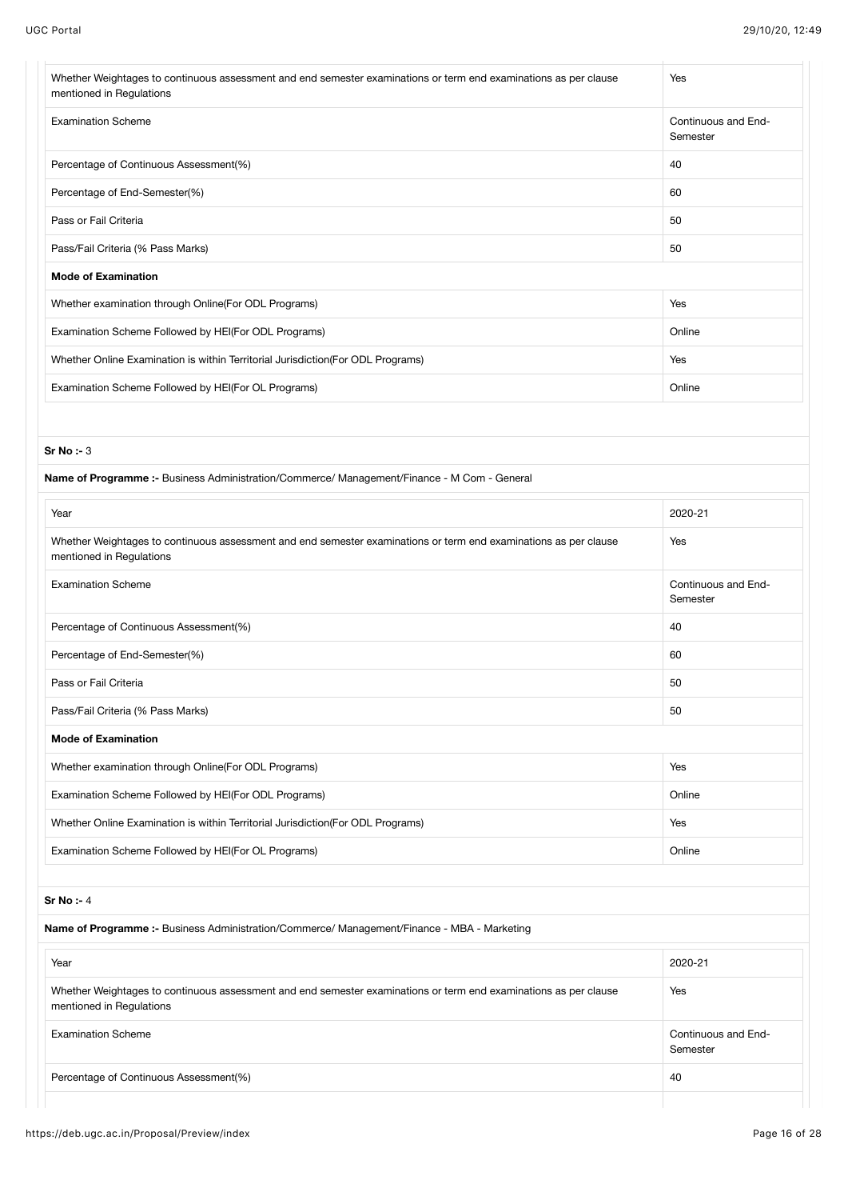| Whether Weightages to continuous assessment and end semester examinations or term end examinations as per clause<br>mentioned in Regulations | Yes                             |
|----------------------------------------------------------------------------------------------------------------------------------------------|---------------------------------|
| <b>Examination Scheme</b>                                                                                                                    | Continuous and End-<br>Semester |
| Percentage of Continuous Assessment(%)                                                                                                       | 40                              |
| Percentage of End-Semester(%)                                                                                                                | 60                              |
| Pass or Fail Criteria                                                                                                                        | 50                              |
| Pass/Fail Criteria (% Pass Marks)                                                                                                            | 50                              |
| <b>Mode of Examination</b>                                                                                                                   |                                 |
| Whether examination through Online(For ODL Programs)                                                                                         | Yes                             |
| Examination Scheme Followed by HEI(For ODL Programs)                                                                                         | Online                          |
| Whether Online Examination is within Territorial Jurisdiction(For ODL Programs)                                                              | Yes                             |
| Examination Scheme Followed by HEI(For OL Programs)                                                                                          | Online                          |
|                                                                                                                                              |                                 |
| Sr No : 3                                                                                                                                    |                                 |
| Name of Programme :- Business Administration/Commerce/ Management/Finance - M Com - General                                                  |                                 |
| Year                                                                                                                                         | 2020-21                         |
| Whether Weightages to continuous assessment and end semester examinations or term end examinations as per clause<br>mentioned in Regulations | Yes                             |
| <b>Examination Scheme</b>                                                                                                                    | Continuous and End-<br>Semester |
| Percentage of Continuous Assessment(%)                                                                                                       | 40                              |
| Percentage of End-Semester(%)                                                                                                                | 60                              |
| Pass or Fail Criteria                                                                                                                        | 50                              |
| Pass/Fail Criteria (% Pass Marks)                                                                                                            | 50                              |
| <b>Mode of Examination</b>                                                                                                                   |                                 |
| Whether examination through Online(For ODL Programs)                                                                                         | Yes                             |
| Examination Scheme Followed by HEI(For ODL Programs)                                                                                         | Online                          |
| Whether Online Examination is within Territorial Jurisdiction(For ODL Programs)                                                              | Yes                             |
| Examination Scheme Followed by HEI(For OL Programs)                                                                                          | Online                          |
|                                                                                                                                              |                                 |
| Sr $No:4$                                                                                                                                    |                                 |
| Name of Programme :- Business Administration/Commerce/ Management/Finance - MBA - Marketing                                                  |                                 |
| Year                                                                                                                                         | 2020-21                         |
| Whether Weightages to continuous assessment and end semester examinations or term end examinations as per clause<br>mentioned in Regulations | Yes                             |
| <b>Examination Scheme</b>                                                                                                                    | Continuous and End-<br>Semester |
| Percentage of Continuous Assessment(%)                                                                                                       | 40                              |
|                                                                                                                                              |                                 |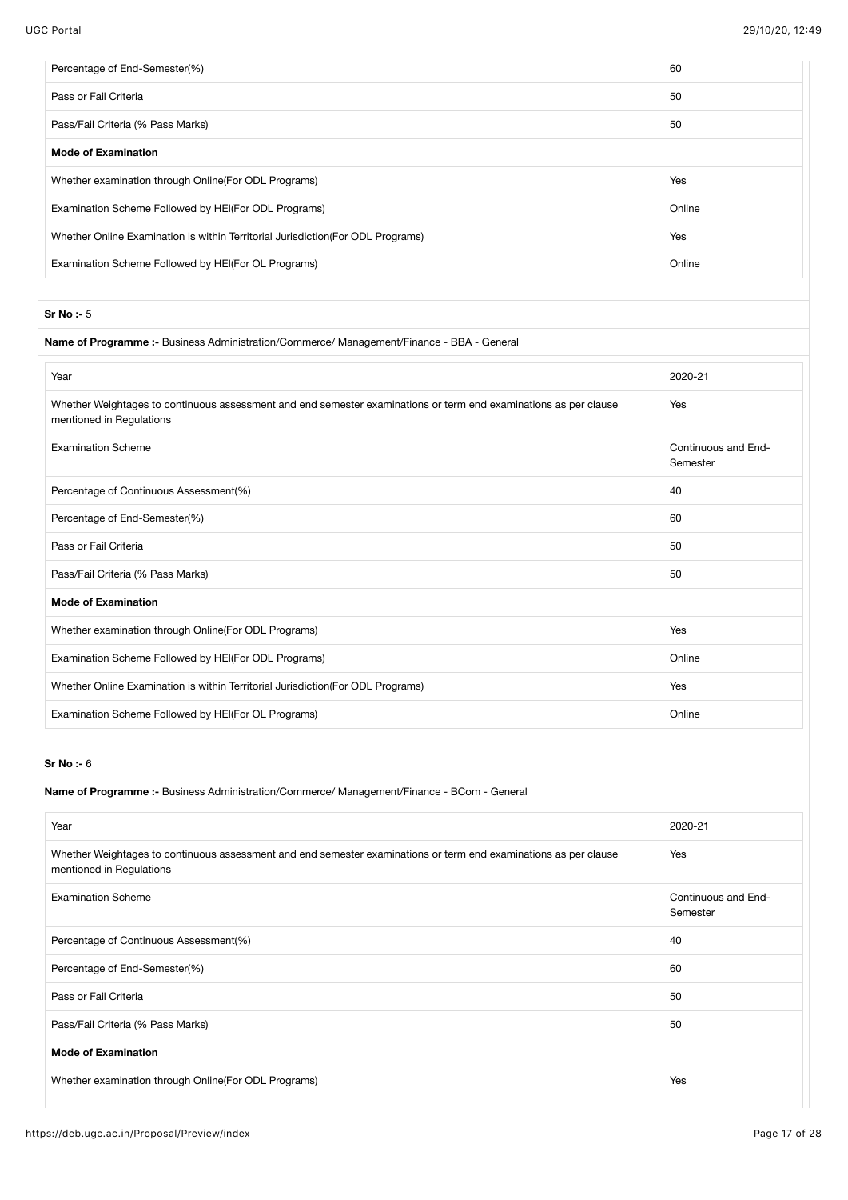| Percentage of End-Semester(%)                                                                                                                | 60                              |
|----------------------------------------------------------------------------------------------------------------------------------------------|---------------------------------|
| Pass or Fail Criteria                                                                                                                        | 50                              |
| Pass/Fail Criteria (% Pass Marks)                                                                                                            | 50                              |
| <b>Mode of Examination</b>                                                                                                                   |                                 |
| Whether examination through Online(For ODL Programs)                                                                                         | Yes                             |
| Examination Scheme Followed by HEI(For ODL Programs)                                                                                         | Online                          |
| Whether Online Examination is within Territorial Jurisdiction(For ODL Programs)                                                              | Yes                             |
| Examination Scheme Followed by HEI(For OL Programs)                                                                                          | Online                          |
| Sr No: $-5$                                                                                                                                  |                                 |
| Name of Programme :- Business Administration/Commerce/ Management/Finance - BBA - General                                                    |                                 |
| Year                                                                                                                                         | 2020-21                         |
| Whether Weightages to continuous assessment and end semester examinations or term end examinations as per clause<br>mentioned in Regulations | Yes                             |
| <b>Examination Scheme</b>                                                                                                                    | Continuous and End-<br>Semester |
| Percentage of Continuous Assessment(%)                                                                                                       | 40                              |
| Percentage of End-Semester(%)                                                                                                                | 60                              |
| Pass or Fail Criteria                                                                                                                        | 50                              |
| Pass/Fail Criteria (% Pass Marks)                                                                                                            | 50                              |
| <b>Mode of Examination</b>                                                                                                                   |                                 |
| Whether examination through Online(For ODL Programs)                                                                                         | Yes                             |
| Examination Scheme Followed by HEI(For ODL Programs)                                                                                         | Online                          |
| Whether Online Examination is within Territorial Jurisdiction(For ODL Programs)                                                              | Yes                             |
| Examination Scheme Followed by HEI(For OL Programs)                                                                                          | Online                          |
|                                                                                                                                              |                                 |
| Sr No : 6<br>Name of Programme :- Business Administration/Commerce/ Management/Finance - BCom - General                                      |                                 |
|                                                                                                                                              |                                 |
| Year                                                                                                                                         | 2020-21                         |
| Whether Weightages to continuous assessment and end semester examinations or term end examinations as per clause<br>mentioned in Regulations | Yes                             |
| <b>Examination Scheme</b>                                                                                                                    | Continuous and End-<br>Semester |
| Percentage of Continuous Assessment(%)                                                                                                       | 40                              |
| Percentage of End-Semester(%)                                                                                                                | 60                              |
| Pass or Fail Criteria                                                                                                                        | 50                              |
| Pass/Fail Criteria (% Pass Marks)                                                                                                            | 50                              |
| <b>Mode of Examination</b>                                                                                                                   |                                 |
|                                                                                                                                              |                                 |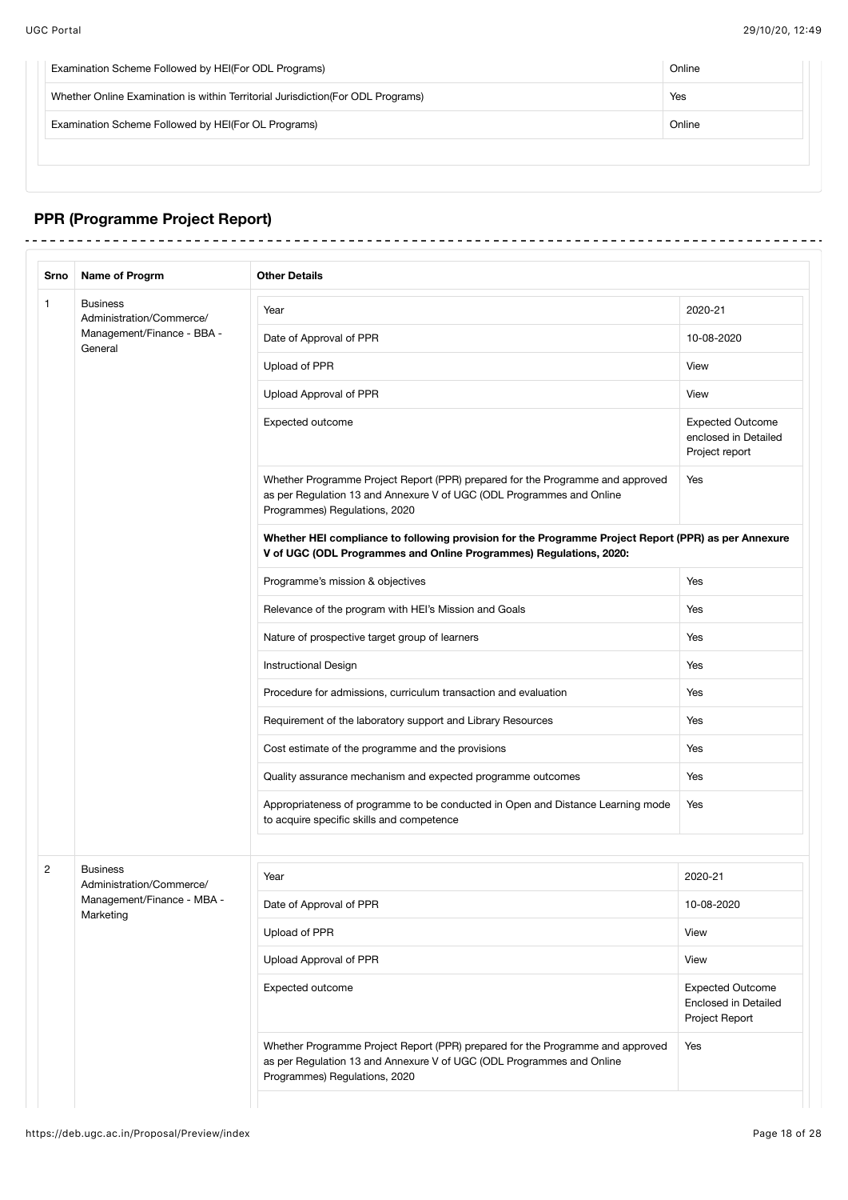$\frac{1}{2}$ 

| Examination Scheme Followed by HEI(For ODL Programs)                             | Online |
|----------------------------------------------------------------------------------|--------|
| Whether Online Examination is within Territorial Jurisdiction (For ODL Programs) | Yes    |
| Examination Scheme Followed by HEI(For OL Programs)                              | Online |
|                                                                                  |        |

# **PPR (Programme Project Report)**

| Srno | Name of Progrm                              | <b>Other Details</b>                                                                                                                                                                     |                                                                          |  |  |
|------|---------------------------------------------|------------------------------------------------------------------------------------------------------------------------------------------------------------------------------------------|--------------------------------------------------------------------------|--|--|
|      | <b>Business</b><br>Administration/Commerce/ | Year                                                                                                                                                                                     |                                                                          |  |  |
|      | Management/Finance - BBA -<br>General       | Date of Approval of PPR                                                                                                                                                                  | 10-08-2020                                                               |  |  |
|      |                                             | Upload of PPR                                                                                                                                                                            | View                                                                     |  |  |
|      |                                             | Upload Approval of PPR                                                                                                                                                                   | View                                                                     |  |  |
|      |                                             | Expected outcome                                                                                                                                                                         | <b>Expected Outcome</b><br>enclosed in Detailed<br>Project report        |  |  |
|      |                                             | Whether Programme Project Report (PPR) prepared for the Programme and approved<br>as per Regulation 13 and Annexure V of UGC (ODL Programmes and Online<br>Programmes) Regulations, 2020 | Yes                                                                      |  |  |
|      |                                             | Whether HEI compliance to following provision for the Programme Project Report (PPR) as per Annexure<br>V of UGC (ODL Programmes and Online Programmes) Regulations, 2020:               |                                                                          |  |  |
|      |                                             | Programme's mission & objectives                                                                                                                                                         | Yes                                                                      |  |  |
|      |                                             | Relevance of the program with HEI's Mission and Goals                                                                                                                                    | Yes                                                                      |  |  |
|      |                                             | Nature of prospective target group of learners                                                                                                                                           | Yes                                                                      |  |  |
|      |                                             | <b>Instructional Design</b>                                                                                                                                                              | Yes                                                                      |  |  |
|      |                                             | Procedure for admissions, curriculum transaction and evaluation                                                                                                                          |                                                                          |  |  |
|      |                                             | Requirement of the laboratory support and Library Resources                                                                                                                              | Yes                                                                      |  |  |
|      |                                             | Cost estimate of the programme and the provisions                                                                                                                                        | Yes                                                                      |  |  |
|      |                                             | Quality assurance mechanism and expected programme outcomes                                                                                                                              | Yes                                                                      |  |  |
|      |                                             | Appropriateness of programme to be conducted in Open and Distance Learning mode<br>to acquire specific skills and competence                                                             | Yes                                                                      |  |  |
|      | <b>Business</b><br>Administration/Commerce/ | Year                                                                                                                                                                                     | 2020-21                                                                  |  |  |
|      | Management/Finance - MBA -<br>Marketing     | Date of Approval of PPR                                                                                                                                                                  | 10-08-2020                                                               |  |  |
|      |                                             | Upload of PPR                                                                                                                                                                            | View                                                                     |  |  |
|      |                                             | Upload Approval of PPR                                                                                                                                                                   | View                                                                     |  |  |
|      |                                             | Expected outcome                                                                                                                                                                         | <b>Expected Outcome</b><br><b>Enclosed in Detailed</b><br>Project Report |  |  |
|      |                                             | Whether Programme Project Report (PPR) prepared for the Programme and approved<br>as per Regulation 13 and Annexure V of UGC (ODL Programmes and Online<br>Programmes) Regulations, 2020 | Yes                                                                      |  |  |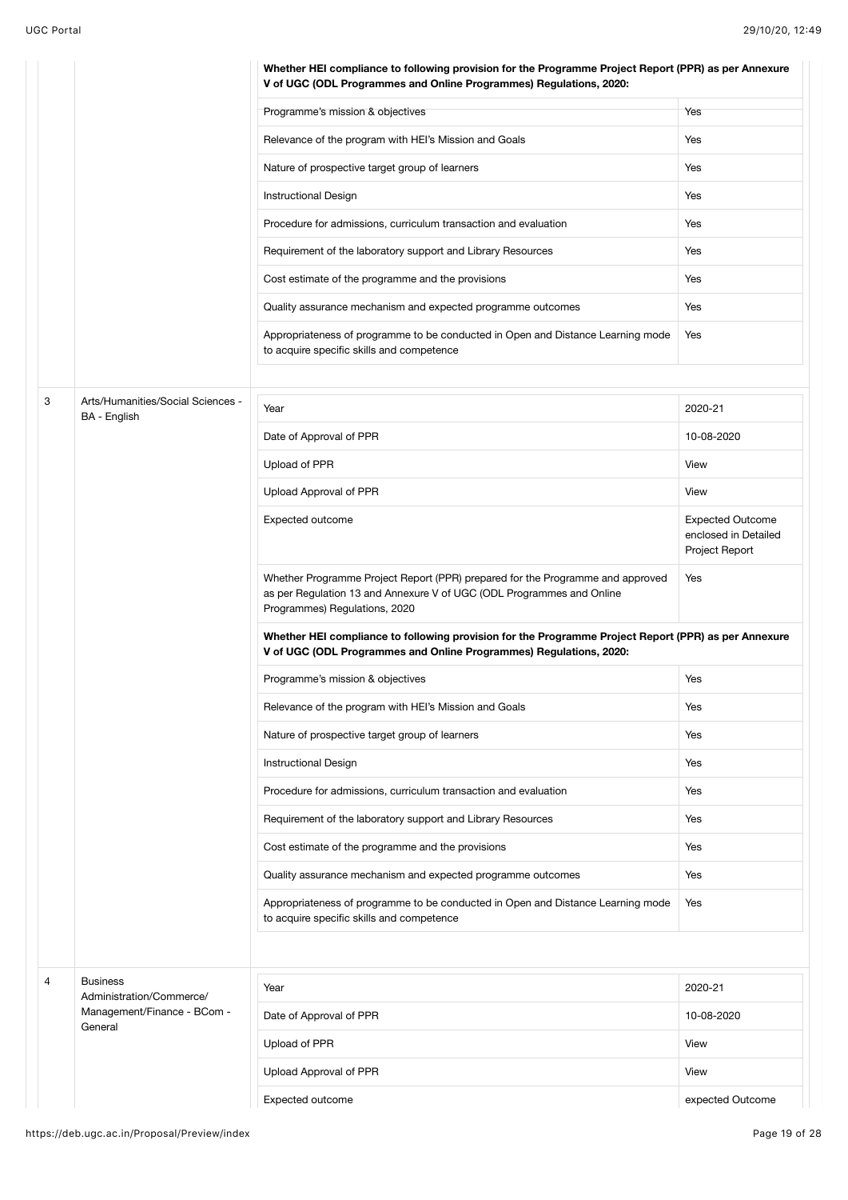|   |                                                   | Whether HEI compliance to following provision for the Programme Project Report (PPR) as per Annexure<br>V of UGC (ODL Programmes and Online Programmes) Regulations, 2020:               |                                                                   |
|---|---------------------------------------------------|------------------------------------------------------------------------------------------------------------------------------------------------------------------------------------------|-------------------------------------------------------------------|
|   |                                                   | Programme's mission & objectives                                                                                                                                                         | Yes                                                               |
|   |                                                   | Relevance of the program with HEI's Mission and Goals                                                                                                                                    | Yes                                                               |
|   |                                                   | Nature of prospective target group of learners                                                                                                                                           | Yes                                                               |
|   |                                                   | <b>Instructional Design</b>                                                                                                                                                              | Yes                                                               |
|   |                                                   | Procedure for admissions, curriculum transaction and evaluation                                                                                                                          | Yes                                                               |
|   |                                                   | Requirement of the laboratory support and Library Resources                                                                                                                              | Yes                                                               |
|   |                                                   | Cost estimate of the programme and the provisions                                                                                                                                        | Yes                                                               |
|   |                                                   | Quality assurance mechanism and expected programme outcomes                                                                                                                              | Yes                                                               |
|   |                                                   | Appropriateness of programme to be conducted in Open and Distance Learning mode<br>to acquire specific skills and competence                                                             | Yes                                                               |
|   |                                                   |                                                                                                                                                                                          |                                                                   |
| 3 | Arts/Humanities/Social Sciences -<br>BA - English | Year                                                                                                                                                                                     | 2020-21                                                           |
|   |                                                   | Date of Approval of PPR                                                                                                                                                                  | 10-08-2020                                                        |
|   |                                                   | Upload of PPR                                                                                                                                                                            | View                                                              |
|   |                                                   | Upload Approval of PPR                                                                                                                                                                   | View                                                              |
|   |                                                   | Expected outcome                                                                                                                                                                         | <b>Expected Outcome</b><br>enclosed in Detailed<br>Project Report |
|   |                                                   | Whether Programme Project Report (PPR) prepared for the Programme and approved<br>as per Regulation 13 and Annexure V of UGC (ODL Programmes and Online<br>Programmes) Regulations, 2020 | Yes                                                               |
|   |                                                   | Whether HEI compliance to following provision for the Programme Project Report (PPR) as per Annexure<br>V of UGC (ODL Programmes and Online Programmes) Regulations, 2020:               |                                                                   |
|   |                                                   | Programme's mission & objectives                                                                                                                                                         | Yes                                                               |
|   |                                                   | Relevance of the program with HEI's Mission and Goals                                                                                                                                    | Yes                                                               |
|   |                                                   | Nature of prospective target group of learners                                                                                                                                           | Yes                                                               |
|   |                                                   | Instructional Design                                                                                                                                                                     | Yes                                                               |
|   |                                                   | Procedure for admissions, curriculum transaction and evaluation                                                                                                                          | Yes                                                               |
|   |                                                   | Requirement of the laboratory support and Library Resources                                                                                                                              | Yes                                                               |
|   |                                                   | Cost estimate of the programme and the provisions                                                                                                                                        | Yes                                                               |
|   |                                                   | Quality assurance mechanism and expected programme outcomes                                                                                                                              | Yes                                                               |
|   |                                                   | Appropriateness of programme to be conducted in Open and Distance Learning mode<br>to acquire specific skills and competence                                                             | Yes                                                               |
|   |                                                   |                                                                                                                                                                                          |                                                                   |
| 4 | <b>Business</b><br>Administration/Commerce/       | Year                                                                                                                                                                                     | 2020-21                                                           |
|   | Management/Finance - BCom -<br>General            | Date of Approval of PPR                                                                                                                                                                  | 10-08-2020                                                        |
|   |                                                   | Upload of PPR                                                                                                                                                                            | View                                                              |
|   |                                                   | Upload Approval of PPR                                                                                                                                                                   | View                                                              |
|   |                                                   | Expected outcome                                                                                                                                                                         | expected Outcome                                                  |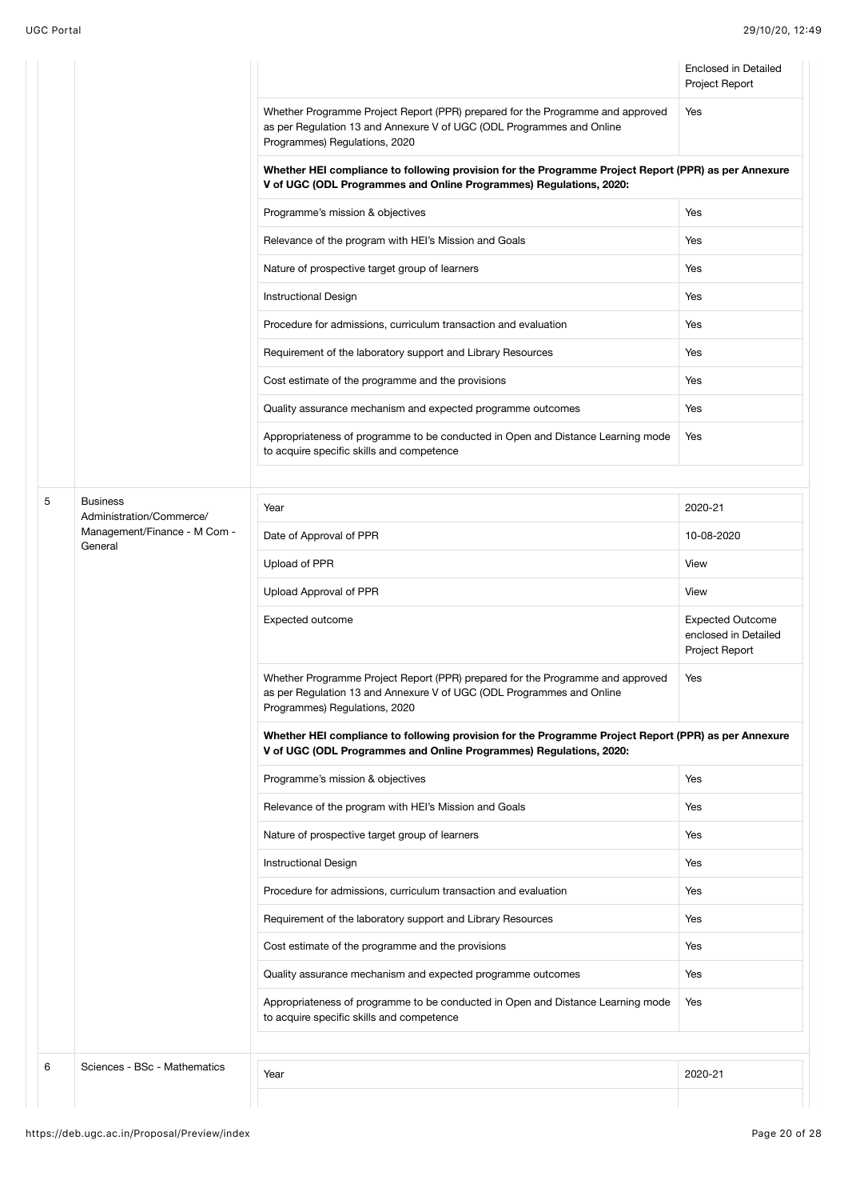|   |                                             |                                                                                                                                                                                          | <b>Enclosed in Detailed</b><br>Project Report                     |  |  |  |  |
|---|---------------------------------------------|------------------------------------------------------------------------------------------------------------------------------------------------------------------------------------------|-------------------------------------------------------------------|--|--|--|--|
|   |                                             | Whether Programme Project Report (PPR) prepared for the Programme and approved<br>as per Regulation 13 and Annexure V of UGC (ODL Programmes and Online<br>Programmes) Regulations, 2020 | Yes                                                               |  |  |  |  |
|   |                                             | Whether HEI compliance to following provision for the Programme Project Report (PPR) as per Annexure<br>V of UGC (ODL Programmes and Online Programmes) Regulations, 2020:               |                                                                   |  |  |  |  |
|   |                                             | Programme's mission & objectives                                                                                                                                                         | Yes                                                               |  |  |  |  |
|   |                                             | Relevance of the program with HEI's Mission and Goals                                                                                                                                    | Yes                                                               |  |  |  |  |
|   |                                             | Nature of prospective target group of learners                                                                                                                                           | Yes                                                               |  |  |  |  |
|   |                                             | Yes<br>Instructional Design                                                                                                                                                              |                                                                   |  |  |  |  |
|   |                                             | Procedure for admissions, curriculum transaction and evaluation                                                                                                                          | Yes                                                               |  |  |  |  |
|   |                                             | Requirement of the laboratory support and Library Resources                                                                                                                              | Yes                                                               |  |  |  |  |
|   |                                             | Cost estimate of the programme and the provisions                                                                                                                                        | Yes                                                               |  |  |  |  |
|   |                                             | Quality assurance mechanism and expected programme outcomes                                                                                                                              | Yes                                                               |  |  |  |  |
|   |                                             | Appropriateness of programme to be conducted in Open and Distance Learning mode<br>to acquire specific skills and competence                                                             | Yes                                                               |  |  |  |  |
|   |                                             |                                                                                                                                                                                          |                                                                   |  |  |  |  |
| 5 | <b>Business</b><br>Administration/Commerce/ | Year                                                                                                                                                                                     | 2020-21                                                           |  |  |  |  |
|   | Management/Finance - M Com -<br>General     | Date of Approval of PPR                                                                                                                                                                  | 10-08-2020                                                        |  |  |  |  |
|   |                                             | Upload of PPR                                                                                                                                                                            | View                                                              |  |  |  |  |
|   |                                             | Upload Approval of PPR                                                                                                                                                                   | View                                                              |  |  |  |  |
|   |                                             | Expected outcome                                                                                                                                                                         | <b>Expected Outcome</b><br>enclosed in Detailed<br>Project Report |  |  |  |  |
|   |                                             | Whether Programme Project Report (PPR) prepared for the Programme and approved<br>as per Regulation 13 and Annexure V of UGC (ODL Programmes and Online<br>Programmes) Regulations, 2020 | Yes                                                               |  |  |  |  |
|   |                                             | Whether HEI compliance to following provision for the Programme Project Report (PPR) as per Annexure<br>V of UGC (ODL Programmes and Online Programmes) Regulations, 2020:               |                                                                   |  |  |  |  |
|   |                                             | Programme's mission & objectives                                                                                                                                                         | Yes                                                               |  |  |  |  |
|   |                                             | Relevance of the program with HEI's Mission and Goals                                                                                                                                    | Yes                                                               |  |  |  |  |
|   |                                             | Nature of prospective target group of learners                                                                                                                                           | Yes                                                               |  |  |  |  |
|   |                                             | <b>Instructional Design</b>                                                                                                                                                              | Yes                                                               |  |  |  |  |
|   |                                             | Procedure for admissions, curriculum transaction and evaluation                                                                                                                          | Yes                                                               |  |  |  |  |
|   |                                             | Requirement of the laboratory support and Library Resources                                                                                                                              | Yes                                                               |  |  |  |  |
|   |                                             | Cost estimate of the programme and the provisions                                                                                                                                        | Yes                                                               |  |  |  |  |
|   |                                             | Quality assurance mechanism and expected programme outcomes                                                                                                                              | Yes                                                               |  |  |  |  |
|   |                                             | Appropriateness of programme to be conducted in Open and Distance Learning mode<br>to acquire specific skills and competence                                                             | Yes                                                               |  |  |  |  |
|   |                                             |                                                                                                                                                                                          |                                                                   |  |  |  |  |
| 6 | Sciences - BSc - Mathematics                | Year                                                                                                                                                                                     | 2020-21                                                           |  |  |  |  |
|   |                                             |                                                                                                                                                                                          |                                                                   |  |  |  |  |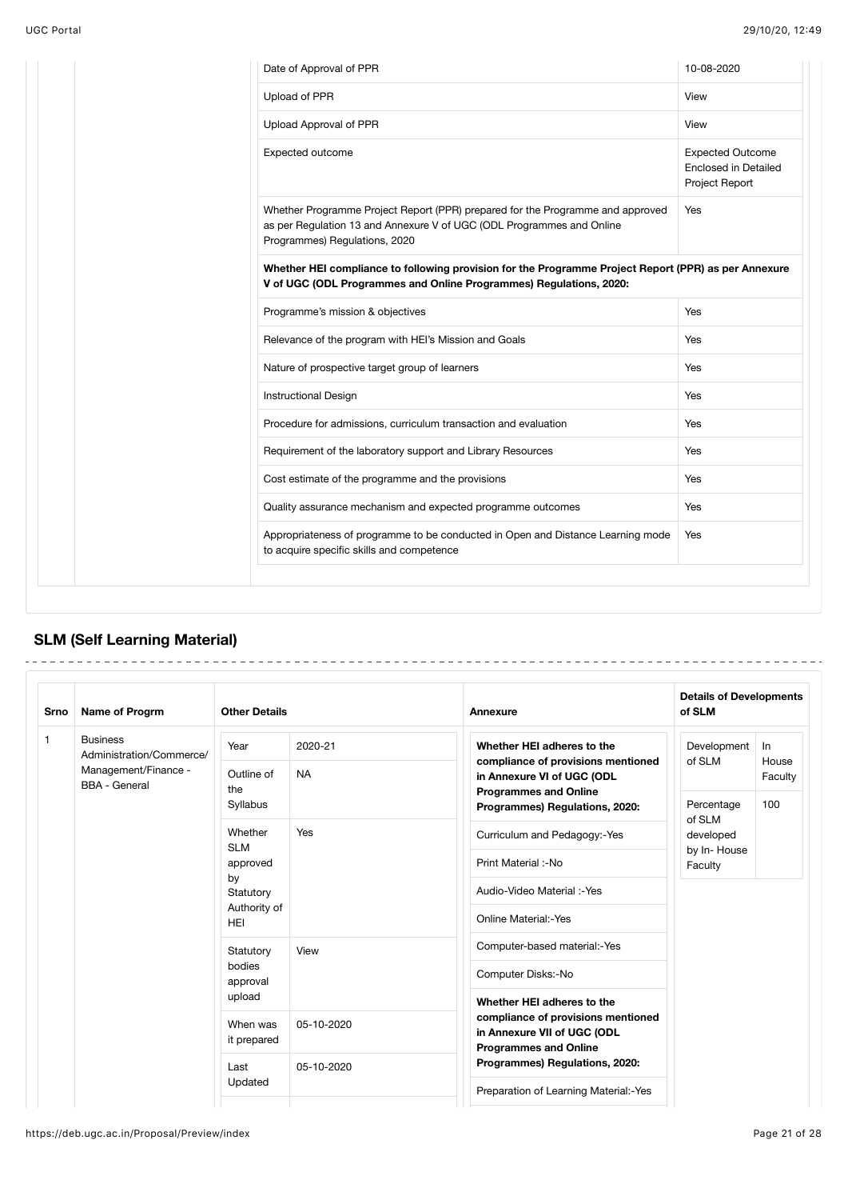| Date of Approval of PPR                                                                                                                                                                  | 10-08-2020                                                               |
|------------------------------------------------------------------------------------------------------------------------------------------------------------------------------------------|--------------------------------------------------------------------------|
| Upload of PPR                                                                                                                                                                            | View                                                                     |
| Upload Approval of PPR                                                                                                                                                                   | View                                                                     |
| Expected outcome                                                                                                                                                                         | <b>Expected Outcome</b><br><b>Enclosed in Detailed</b><br>Project Report |
| Whether Programme Project Report (PPR) prepared for the Programme and approved<br>as per Regulation 13 and Annexure V of UGC (ODL Programmes and Online<br>Programmes) Regulations, 2020 | Yes                                                                      |
| Whether HEI compliance to following provision for the Programme Project Report (PPR) as per Annexure<br>V of UGC (ODL Programmes and Online Programmes) Regulations, 2020:               |                                                                          |
| Programme's mission & objectives                                                                                                                                                         | Yes                                                                      |
| Relevance of the program with HEI's Mission and Goals                                                                                                                                    | Yes                                                                      |
| Nature of prospective target group of learners                                                                                                                                           | Yes                                                                      |
| <b>Instructional Design</b>                                                                                                                                                              | Yes                                                                      |
| Procedure for admissions, curriculum transaction and evaluation                                                                                                                          | Yes                                                                      |
| Requirement of the laboratory support and Library Resources                                                                                                                              | Yes                                                                      |
| Cost estimate of the programme and the provisions                                                                                                                                        | Yes                                                                      |
| Quality assurance mechanism and expected programme outcomes                                                                                                                              | Yes                                                                      |
| Appropriateness of programme to be conducted in Open and Distance Learning mode<br>to acquire specific skills and competence                                                             | Yes                                                                      |
|                                                                                                                                                                                          |                                                                          |

# **SLM (Self Learning Material)**

| Srno         | <b>Name of Progrm</b>                        | <b>Other Details</b>                   |                            | Annexure                                                                                          | <b>Details of Developments</b><br>of SLM |             |  |
|--------------|----------------------------------------------|----------------------------------------|----------------------------|---------------------------------------------------------------------------------------------------|------------------------------------------|-------------|--|
| $\mathbf{1}$ | <b>Business</b><br>Administration/Commerce/  | Year                                   | 2020-21                    | Whether HEI adheres to the                                                                        | Development<br>of SLM                    | ln<br>House |  |
|              | Management/Finance -<br><b>BBA</b> - General | Outline of<br>the                      | <b>NA</b>                  | compliance of provisions mentioned<br>in Annexure VI of UGC (ODL<br><b>Programmes and Online</b>  |                                          | Faculty     |  |
|              |                                              | Syllabus                               |                            | Programmes) Regulations, 2020:                                                                    | Percentage<br>of SLM                     | 100         |  |
|              |                                              | Whether<br><b>SLM</b>                  | <b>Yes</b>                 | Curriculum and Pedagogy:-Yes                                                                      | developed                                |             |  |
|              |                                              | approved                               |                            | Print Material :-No                                                                               | by In-House<br>Faculty                   |             |  |
|              |                                              | by<br>Statutory<br>Authority of<br>HEI |                            | Audio-Video Material:-Yes                                                                         |                                          |             |  |
|              |                                              |                                        |                            | <b>Online Material:-Yes</b>                                                                       |                                          |             |  |
|              |                                              | Statutory                              | View                       | Computer-based material:-Yes                                                                      |                                          |             |  |
|              |                                              | bodies<br>approval                     |                            | Computer Disks:-No                                                                                |                                          |             |  |
|              |                                              | upload                                 | Whether HEI adheres to the |                                                                                                   |                                          |             |  |
|              |                                              | When was<br>it prepared                | 05-10-2020                 | compliance of provisions mentioned<br>in Annexure VII of UGC (ODL<br><b>Programmes and Online</b> |                                          |             |  |
|              |                                              | Last                                   | 05-10-2020                 | Programmes) Regulations, 2020:                                                                    |                                          |             |  |
|              |                                              | Updated                                |                            | Preparation of Learning Material:-Yes                                                             |                                          |             |  |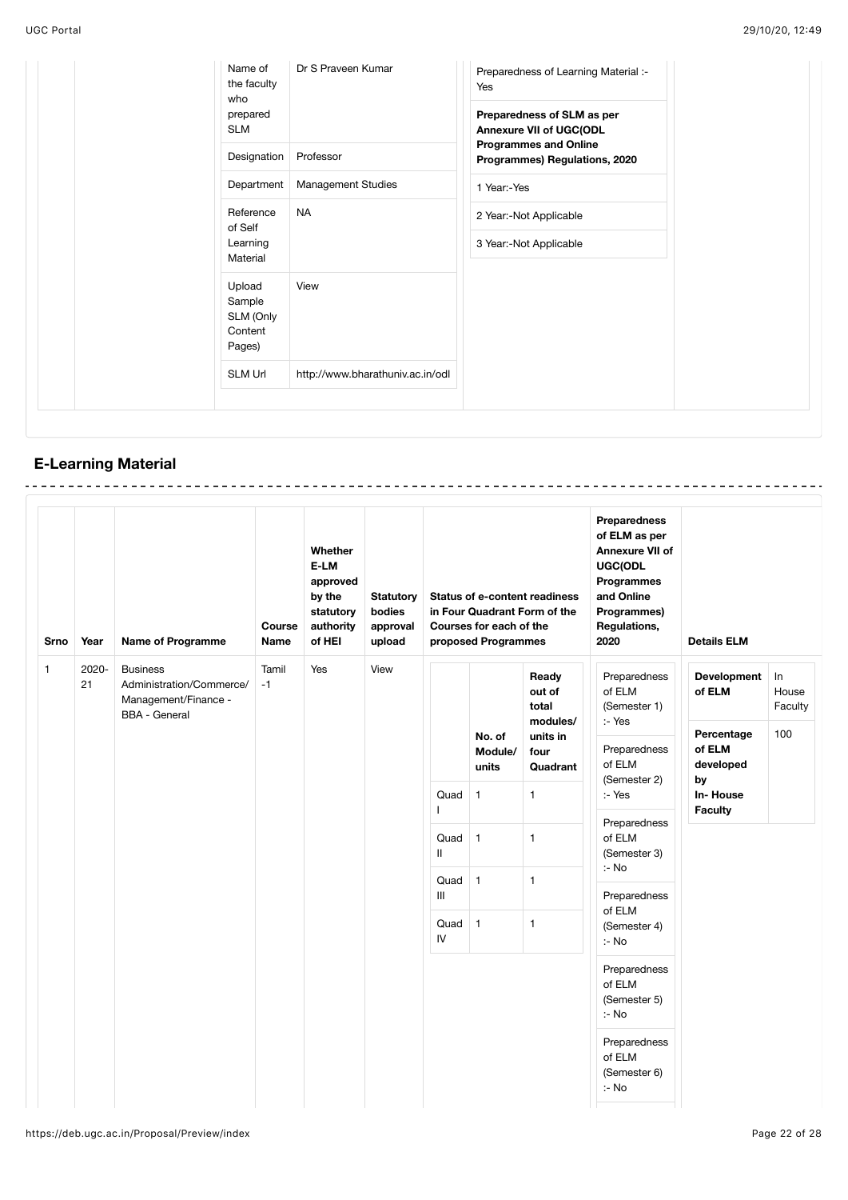| prepared<br>Preparedness of SLM as per<br><b>SLM</b><br>Annexure VII of UGC(ODL<br><b>Programmes and Online</b><br>Designation<br>Professor<br>Programmes) Regulations, 2020<br>Department<br>Management Studies<br>1 Year:-Yes<br><b>NA</b><br>Reference<br>2 Year:-Not Applicable<br>of Self<br>Learning<br>3 Year:-Not Applicable<br>Material<br>Upload<br>View<br>Sample<br>SLM (Only<br>Content<br>Pages)<br><b>SLM Url</b><br>http://www.bharathuniv.ac.in/odl | Name of<br>the faculty<br>who | Dr S Praveen Kumar | Preparedness of Learning Material :-<br>Yes |
|----------------------------------------------------------------------------------------------------------------------------------------------------------------------------------------------------------------------------------------------------------------------------------------------------------------------------------------------------------------------------------------------------------------------------------------------------------------------|-------------------------------|--------------------|---------------------------------------------|
|                                                                                                                                                                                                                                                                                                                                                                                                                                                                      |                               |                    |                                             |
|                                                                                                                                                                                                                                                                                                                                                                                                                                                                      |                               |                    |                                             |
|                                                                                                                                                                                                                                                                                                                                                                                                                                                                      |                               |                    |                                             |
|                                                                                                                                                                                                                                                                                                                                                                                                                                                                      |                               |                    |                                             |
|                                                                                                                                                                                                                                                                                                                                                                                                                                                                      |                               |                    |                                             |
|                                                                                                                                                                                                                                                                                                                                                                                                                                                                      |                               |                    |                                             |
|                                                                                                                                                                                                                                                                                                                                                                                                                                                                      |                               |                    |                                             |

# **E-Learning Material**

| <b>Srno</b>  | Year                                                                                                                        | <b>Name of Programme</b> | Course<br><b>Name</b>                      | Whether<br>E-LM<br>approved<br>by the<br>statutory<br>authority<br>of HEI | <b>Statutory</b><br>bodies<br>approval<br>upload | <b>Status of e-content readiness</b><br>in Four Quadrant Form of the<br>Courses for each of the<br>proposed Programmes |                                                                      |                                                                            | Preparedness<br>of ELM as per<br>Annexure VII of<br>UGC(ODL<br><b>Programmes</b><br>and Online<br>Programmes)<br>Regulations,<br>2020 | <b>Details ELM</b>               |  |  |  |  |  |  |  |  |  |  |  |                                  |  |  |  |  |  |  |  |  |  |  |  |
|--------------|-----------------------------------------------------------------------------------------------------------------------------|--------------------------|--------------------------------------------|---------------------------------------------------------------------------|--------------------------------------------------|------------------------------------------------------------------------------------------------------------------------|----------------------------------------------------------------------|----------------------------------------------------------------------------|---------------------------------------------------------------------------------------------------------------------------------------|----------------------------------|--|--|--|--|--|--|--|--|--|--|--|----------------------------------|--|--|--|--|--|--|--|--|--|--|--|
| $\mathbf{1}$ | 2020-<br><b>Business</b><br>Tamil<br>21<br>Administration/Commerce/<br>$-1$<br>Management/Finance -<br><b>BBA - General</b> |                          | Yes                                        | View                                                                      |                                                  | No. of<br>Module/<br>units                                                                                             | Ready<br>out of<br>total<br>modules/<br>units in<br>four<br>Quadrant | Preparedness<br>of ELM<br>(Semester 1)<br>:- Yes<br>Preparedness<br>of ELM | Development<br>of ELM<br>Percentage<br>of ELM<br>developed                                                                            | In<br>House<br>Faculty<br>100    |  |  |  |  |  |  |  |  |  |  |  |                                  |  |  |  |  |  |  |  |  |  |  |  |
|              |                                                                                                                             |                          |                                            |                                                                           |                                                  | Quad                                                                                                                   | $\mathbf{1}$                                                         | $\mathbf{1}$                                                               | (Semester 2)<br>:- Yes<br>Preparedness<br>of ELM<br>(Semester 3)<br>$:$ - No                                                          | Preparedness                     |  |  |  |  |  |  |  |  |  |  |  | by<br>In-House<br><b>Faculty</b> |  |  |  |  |  |  |  |  |  |  |  |
|              |                                                                                                                             |                          |                                            |                                                                           |                                                  | Quad $1$<br>$\mathbf{I}$                                                                                               |                                                                      | $\mathbf{1}$                                                               |                                                                                                                                       |                                  |  |  |  |  |  |  |  |  |  |  |  |                                  |  |  |  |  |  |  |  |  |  |  |  |
|              |                                                                                                                             |                          |                                            |                                                                           |                                                  | Quad<br>$\mathbf{III}$                                                                                                 | $\mathbf{1}$                                                         | $\mathbf{1}$                                                               |                                                                                                                                       |                                  |  |  |  |  |  |  |  |  |  |  |  |                                  |  |  |  |  |  |  |  |  |  |  |  |
|              |                                                                                                                             |                          | $\mathbf{1}$<br>$\mathbf{1}$<br>Quad<br>IV |                                                                           |                                                  |                                                                                                                        |                                                                      |                                                                            |                                                                                                                                       | of ELM<br>(Semester 4)<br>$:$ No |  |  |  |  |  |  |  |  |  |  |  |                                  |  |  |  |  |  |  |  |  |  |  |  |
|              |                                                                                                                             |                          |                                            |                                                                           |                                                  |                                                                                                                        |                                                                      |                                                                            | Preparedness<br>of ELM<br>(Semester 5)<br>:- No                                                                                       |                                  |  |  |  |  |  |  |  |  |  |  |  |                                  |  |  |  |  |  |  |  |  |  |  |  |
|              |                                                                                                                             |                          |                                            |                                                                           |                                                  |                                                                                                                        |                                                                      |                                                                            | Preparedness<br>of ELM<br>(Semester 6)<br>:- No                                                                                       |                                  |  |  |  |  |  |  |  |  |  |  |  |                                  |  |  |  |  |  |  |  |  |  |  |  |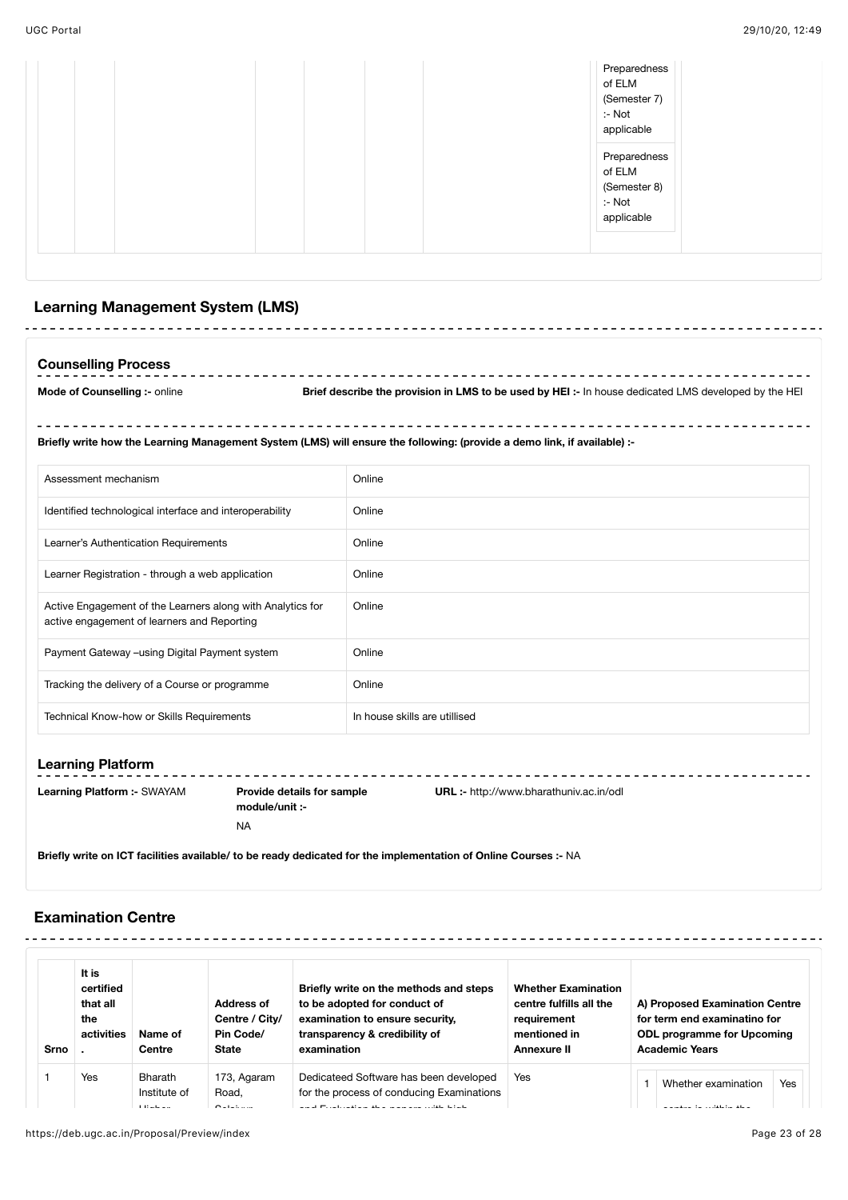. . . . . . . .

|--|

# **Learning Management System (LMS)**

| Councalling Procass |  |  |
|---------------------|--|--|

**Counselling Process**  $\mathcal{L} = \mathcal{L} + \mathcal{L}$ **Mode of Counselling :-** online **Brief describe the provision in LMS to be used by HEI :-** In house dedicated LMS developed by the HEI

 $\sim$   $\sim$ **Briefly write how the Learning Management System (LMS) will ensure the following: (provide a demo link, if available) :-**

| Assessment mechanism                                                                                      | Online                        |
|-----------------------------------------------------------------------------------------------------------|-------------------------------|
| Identified technological interface and interoperability                                                   | Online                        |
| Learner's Authentication Requirements                                                                     | Online                        |
| Learner Registration - through a web application                                                          | Online                        |
| Active Engagement of the Learners along with Analytics for<br>active engagement of learners and Reporting | Online                        |
| Payment Gateway -using Digital Payment system                                                             | Online                        |
| Tracking the delivery of a Course or programme                                                            | Online                        |
| Technical Know-how or Skills Requirements                                                                 | In house skills are utillised |

# **Learning Platform**

**Learning Platform :-** SWAYAM **Provide details for sample**

**module/unit :-** NA **URL :-** http://www.bharathuniv.ac.in/odl

**Briefly write on ICT facilities available/ to be ready dedicated for the implementation of Online Courses :-** NA

### **Examination Centre**

| Srno | It is<br>certified<br>that all<br>the<br>activities | Name of<br>Centre                          | Address of<br>Centre / City/<br>Pin Code/<br><b>State</b> | Briefly write on the methods and steps<br>to be adopted for conduct of<br>examination to ensure security.<br>transparency & credibility of<br>examination | <b>Whether Examination</b><br>centre fulfills all the<br>requirement<br>mentioned in<br><b>Annexure II</b> | A) Proposed Examination Centre<br>for term end examinatino for<br><b>ODL programme for Upcoming</b><br><b>Academic Years</b> |
|------|-----------------------------------------------------|--------------------------------------------|-----------------------------------------------------------|-----------------------------------------------------------------------------------------------------------------------------------------------------------|------------------------------------------------------------------------------------------------------------|------------------------------------------------------------------------------------------------------------------------------|
|      | Yes                                                 | <b>Bharath</b><br>Institute of<br>$\cdots$ | 173, Agaram<br>Road.<br>$\sim$ $\cdot$ $\cdot$            | Dedicateed Software has been developed<br>for the process of conducing Examinations<br>$-$<br>$\cdots$<br>$\sim$                                          | Yes                                                                                                        | Yes<br>Whether examination                                                                                                   |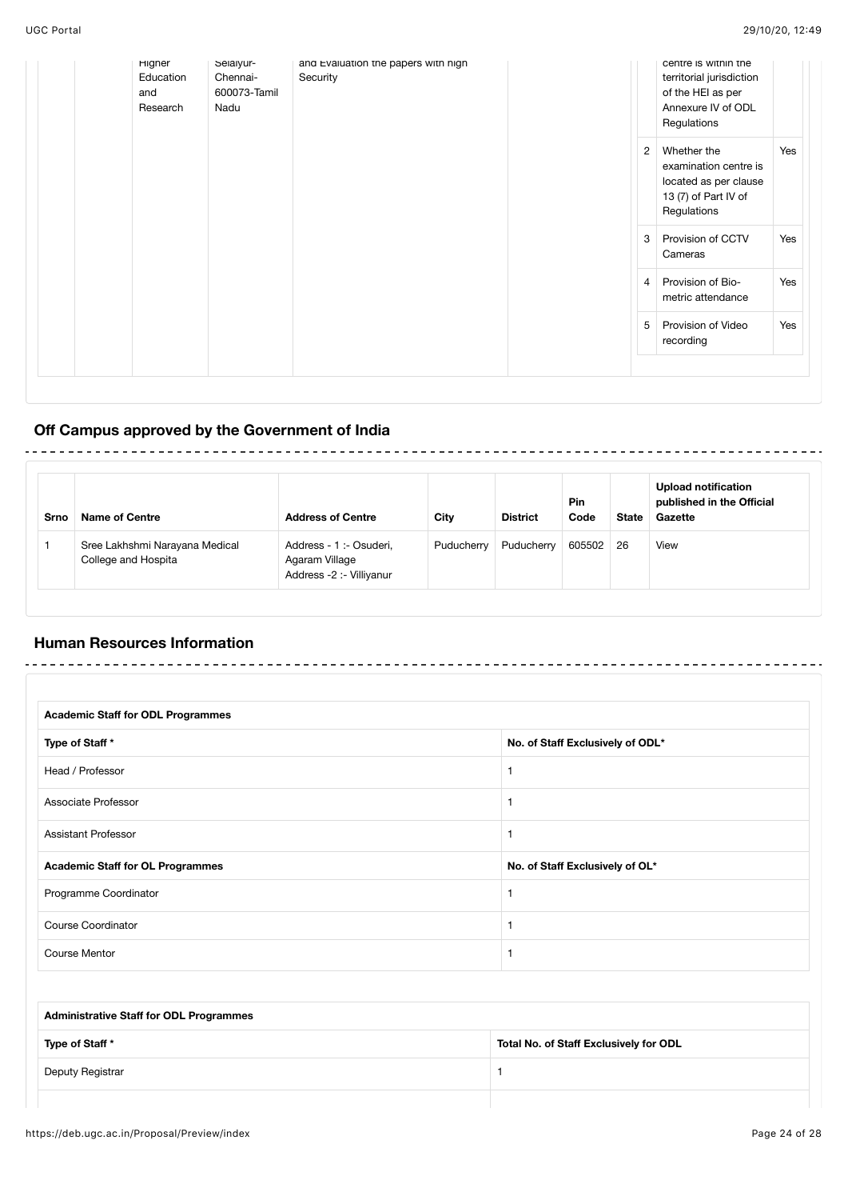| Higner<br>Education<br>and<br>Research | Selalyur-<br>Chennai-<br>600073-Tamil<br>Nadu | and Evaluation the papers with high<br>Security |                | centre is within the<br>territorial jurisdiction<br>of the HEI as per<br>Annexure IV of ODL<br>Regulations |     |
|----------------------------------------|-----------------------------------------------|-------------------------------------------------|----------------|------------------------------------------------------------------------------------------------------------|-----|
|                                        |                                               |                                                 | $\overline{2}$ | Whether the<br>examination centre is<br>located as per clause<br>13 (7) of Part IV of<br>Regulations       | Yes |
|                                        |                                               |                                                 | 3              | Provision of CCTV<br>Cameras                                                                               | Yes |
|                                        |                                               |                                                 | 4 <sup>1</sup> | Provision of Bio-<br>metric attendance                                                                     | Yes |
|                                        |                                               |                                                 | 5              | Provision of Video<br>recording                                                                            | Yes |
|                                        |                                               |                                                 |                |                                                                                                            |     |

# **Off Campus approved by the Government of India**

| Srno | <b>Name of Centre</b>                                 | <b>Address of Centre</b>                                              | City       | <b>District</b> | <b>Pin</b><br>Code | <b>State</b> | <b>Upload notification</b><br>published in the Official<br>Gazette |
|------|-------------------------------------------------------|-----------------------------------------------------------------------|------------|-----------------|--------------------|--------------|--------------------------------------------------------------------|
|      | Sree Lakhshmi Narayana Medical<br>College and Hospita | Address - 1 :- Osuderi,<br>Agaram Village<br>Address -2 :- Villiyanur | Puducherry | Puducherry      | 605502             | -26          | View                                                               |

## **Human Resources Information**

| <b>Academic Staff for ODL Programmes</b> |                                  |  |  |  |  |  |
|------------------------------------------|----------------------------------|--|--|--|--|--|
| Type of Staff *                          | No. of Staff Exclusively of ODL* |  |  |  |  |  |
| Head / Professor                         |                                  |  |  |  |  |  |
| Associate Professor                      |                                  |  |  |  |  |  |
| <b>Assistant Professor</b>               |                                  |  |  |  |  |  |
| <b>Academic Staff for OL Programmes</b>  | No. of Staff Exclusively of OL*  |  |  |  |  |  |
| Programme Coordinator                    |                                  |  |  |  |  |  |
| <b>Course Coordinator</b>                |                                  |  |  |  |  |  |
| <b>Course Mentor</b>                     |                                  |  |  |  |  |  |

| <b>Administrative Staff for ODL Programmes</b> |                                        |
|------------------------------------------------|----------------------------------------|
| Type of Staff *                                | Total No. of Staff Exclusively for ODL |
| Deputy Registrar                               |                                        |
|                                                |                                        |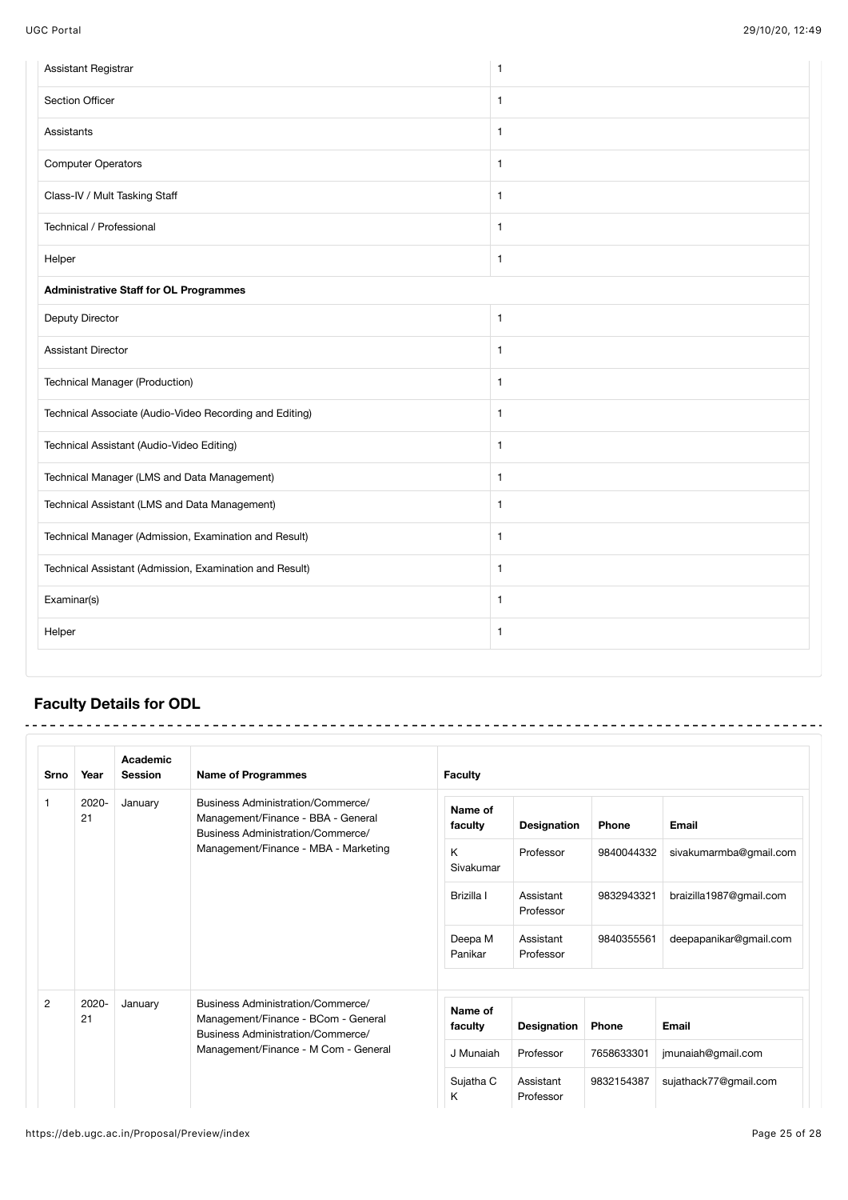| Assistant Registrar                                     | $\mathbf{1}$ |
|---------------------------------------------------------|--------------|
| Section Officer                                         | $\mathbf{1}$ |
| Assistants                                              | $\mathbf{1}$ |
| <b>Computer Operators</b>                               | $\mathbf{1}$ |
| Class-IV / Mult Tasking Staff                           | $\mathbf{1}$ |
| Technical / Professional                                | $\mathbf{1}$ |
| Helper                                                  | $\mathbf{1}$ |
| <b>Administrative Staff for OL Programmes</b>           |              |
| Deputy Director                                         | $\mathbf{1}$ |
| <b>Assistant Director</b>                               | $\mathbf{1}$ |
| <b>Technical Manager (Production)</b>                   | $\mathbf{1}$ |
| Technical Associate (Audio-Video Recording and Editing) | $\mathbf{1}$ |
| Technical Assistant (Audio-Video Editing)               | $\mathbf{1}$ |
| Technical Manager (LMS and Data Management)             | $\mathbf{1}$ |
| Technical Assistant (LMS and Data Management)           | $\mathbf{1}$ |
| Technical Manager (Admission, Examination and Result)   | $\mathbf{1}$ |
| Technical Assistant (Admission, Examination and Result) | $\mathbf{1}$ |
| Examinar(s)                                             | $\mathbf{1}$ |
| Helper                                                  | $\mathbf{1}$ |

# **Faculty Details for ODL**

| Srno           | Year           | Academic<br><b>Session</b>           | <b>Name of Programmes</b>                                                                                     | <b>Faculty</b>         |             |                         |       |
|----------------|----------------|--------------------------------------|---------------------------------------------------------------------------------------------------------------|------------------------|-------------|-------------------------|-------|
| 1              | $2020 -$<br>21 | January                              | Business Administration/Commerce/<br>Management/Finance - BBA - General<br>Business Administration/Commerce/  | Name of<br>faculty     | Designation | <b>Phone</b>            | Email |
|                |                | Management/Finance - MBA - Marketing | K<br>Sivakumar                                                                                                | Professor              | 9840044332  | sivakumarmba@gmail.com  |       |
|                |                |                                      | Brizilla I                                                                                                    | Assistant<br>Professor | 9832943321  | braizilla1987@gmail.com |       |
|                |                |                                      | Deepa M<br>Panikar                                                                                            | Assistant<br>Professor | 9840355561  | deepapanikar@gmail.com  |       |
|                |                |                                      |                                                                                                               |                        |             |                         |       |
| $\overline{2}$ | 2020-<br>21    | January                              | Business Administration/Commerce/<br>Management/Finance - BCom - General<br>Business Administration/Commerce/ | Name of<br>faculty     | Designation | <b>Phone</b>            | Email |
|                |                | Management/Finance - M Com - General | J Munaiah                                                                                                     | Professor              | 7658633301  | jmunaiah@gmail.com      |       |
|                |                |                                      | Sujatha C<br>K                                                                                                | Assistant<br>Professor | 9832154387  | sujathack77@gmail.com   |       |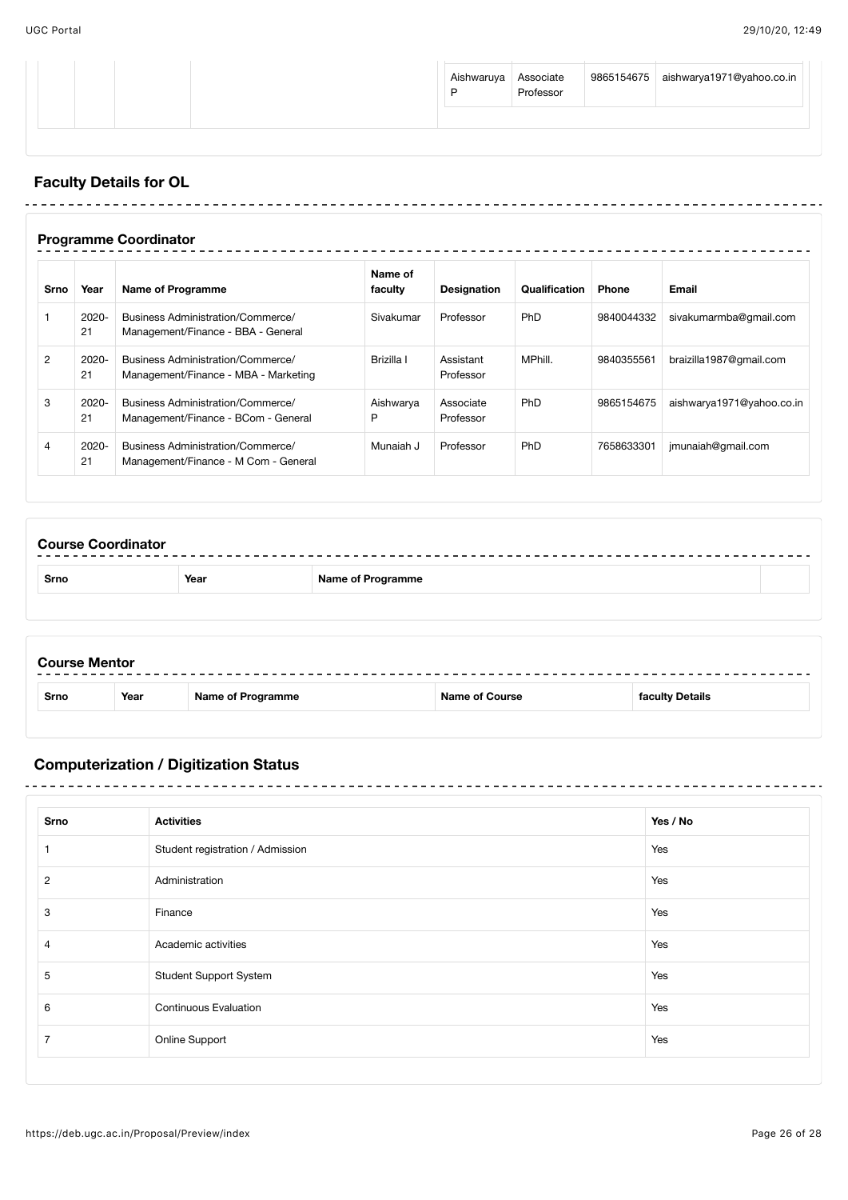|  |  | Aishwaruya Associate | Professor |  | $\vert$ 9865154675 aishwarya1971@yahoo.co.in |
|--|--|----------------------|-----------|--|----------------------------------------------|
|--|--|----------------------|-----------|--|----------------------------------------------|

# **Faculty Details for OL**

|                | <b>Programme Coordinator</b> |                                                                           |                    |                        |               |              |                           |  |  |
|----------------|------------------------------|---------------------------------------------------------------------------|--------------------|------------------------|---------------|--------------|---------------------------|--|--|
| Srno           | Year                         | <b>Name of Programme</b>                                                  | Name of<br>faculty | <b>Designation</b>     | Qualification | <b>Phone</b> | Email                     |  |  |
|                | $2020 -$<br>21               | Business Administration/Commerce/<br>Management/Finance - BBA - General   | Sivakumar          | Professor              | <b>PhD</b>    | 9840044332   | sivakumarmba@qmail.com    |  |  |
| $\overline{2}$ | $2020 -$<br>21               | Business Administration/Commerce/<br>Management/Finance - MBA - Marketing | Brizilla I         | Assistant<br>Professor | MPhill.       | 9840355561   | braizilla1987@qmail.com   |  |  |
| 3              | 2020-<br>21                  | Business Administration/Commerce/<br>Management/Finance - BCom - General  | Aishwarya<br>P     | Associate<br>Professor | <b>PhD</b>    | 9865154675   | aishwarya1971@yahoo.co.in |  |  |
| $\overline{4}$ | 2020-<br>21                  | Business Administration/Commerce/<br>Management/Finance - M Com - General | Munaiah J          | Professor              | <b>PhD</b>    | 7658633301   | jmunaiah@gmail.com        |  |  |

| <b>Course Coordinator</b> |      |                          |  |
|---------------------------|------|--------------------------|--|
| <b>Srno</b>               | Year | <b>Name of Programme</b> |  |
|                           |      |                          |  |
|                           |      |                          |  |

| <b>Course Mentor</b> |      |                   |                       |                 |
|----------------------|------|-------------------|-----------------------|-----------------|
| <b>Srno</b>          | Year | Name of Programme | <b>Name of Course</b> | faculty Details |
|                      |      |                   |                       |                 |

# **Computerization / Digitization Status**

-------------------------------

| Srno           | <b>Activities</b>                | Yes / No |
|----------------|----------------------------------|----------|
|                | Student registration / Admission | Yes      |
| 2              | Administration                   | Yes      |
| 3              | Finance                          | Yes      |
| 4              | Academic activities              | Yes      |
| 5              | <b>Student Support System</b>    | Yes      |
| 6              | <b>Continuous Evaluation</b>     | Yes      |
| $\overline{7}$ | Online Support                   | Yes      |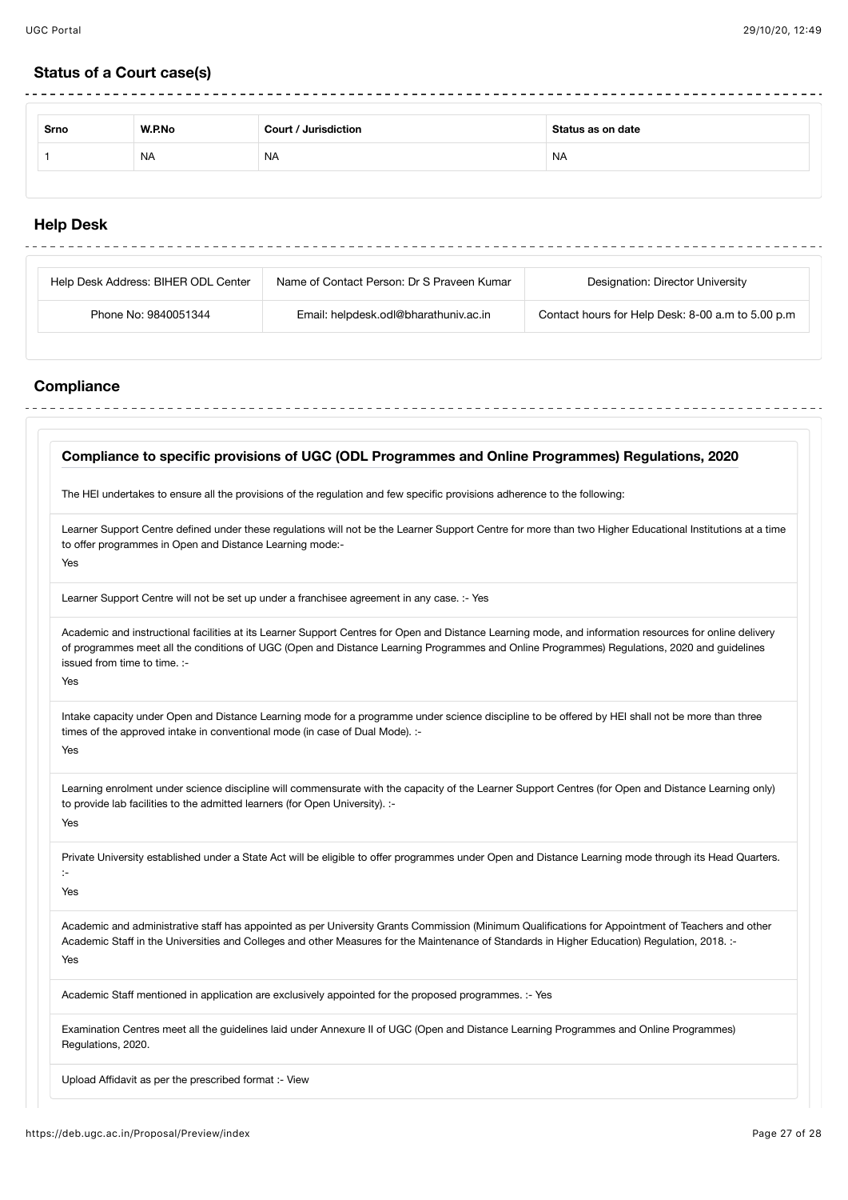$\frac{1}{2}$ 

# **Status of a Court case(s)**

| Srno | W.P.No    | Court / Jurisdiction | Status as on date |
|------|-----------|----------------------|-------------------|
|      | <b>NA</b> | <b>NA</b>            | <b>NA</b>         |

# **Help Desk**

| Help Desk Address: BIHER ODL Center | Name of Contact Person: Dr S Praveen Kumar | Designation: Director University                  |
|-------------------------------------|--------------------------------------------|---------------------------------------------------|
| Phone No: 9840051344                | Email: helpdesk.odl@bharathuniv.ac.in      | Contact hours for Help Desk: 8-00 a.m to 5.00 p.m |

# **Compliance**

÷

| Compliance to specific provisions of UGC (ODL Programmes and Online Programmes) Regulations, 2020                                                                                                                                                                                                                                             |  |
|-----------------------------------------------------------------------------------------------------------------------------------------------------------------------------------------------------------------------------------------------------------------------------------------------------------------------------------------------|--|
| The HEI undertakes to ensure all the provisions of the regulation and few specific provisions adherence to the following:                                                                                                                                                                                                                     |  |
| Learner Support Centre defined under these regulations will not be the Learner Support Centre for more than two Higher Educational Institutions at a time<br>to offer programmes in Open and Distance Learning mode:-<br>Yes                                                                                                                  |  |
| Learner Support Centre will not be set up under a franchisee agreement in any case. :- Yes                                                                                                                                                                                                                                                    |  |
| Academic and instructional facilities at its Learner Support Centres for Open and Distance Learning mode, and information resources for online delivery<br>of programmes meet all the conditions of UGC (Open and Distance Learning Programmes and Online Programmes) Regulations, 2020 and guidelines<br>issued from time to time. :-<br>Yes |  |
| Intake capacity under Open and Distance Learning mode for a programme under science discipline to be offered by HEI shall not be more than three<br>times of the approved intake in conventional mode (in case of Dual Mode). :-<br>Yes                                                                                                       |  |
| Learning enrolment under science discipline will commensurate with the capacity of the Learner Support Centres (for Open and Distance Learning only)<br>to provide lab facilities to the admitted learners (for Open University). :-<br>Yes                                                                                                   |  |
| Private University established under a State Act will be eligible to offer programmes under Open and Distance Learning mode through its Head Quarters.<br><b>Yes</b>                                                                                                                                                                          |  |
| Academic and administrative staff has appointed as per University Grants Commission (Minimum Qualifications for Appointment of Teachers and other<br>Academic Staff in the Universities and Colleges and other Measures for the Maintenance of Standards in Higher Education) Regulation, 2018. :-<br>Yes                                     |  |
| Academic Staff mentioned in application are exclusively appointed for the proposed programmes. :- Yes                                                                                                                                                                                                                                         |  |
| Examination Centres meet all the guidelines laid under Annexure II of UGC (Open and Distance Learning Programmes and Online Programmes)<br>Regulations, 2020.                                                                                                                                                                                 |  |
| Upload Affidavit as per the prescribed format :- View                                                                                                                                                                                                                                                                                         |  |